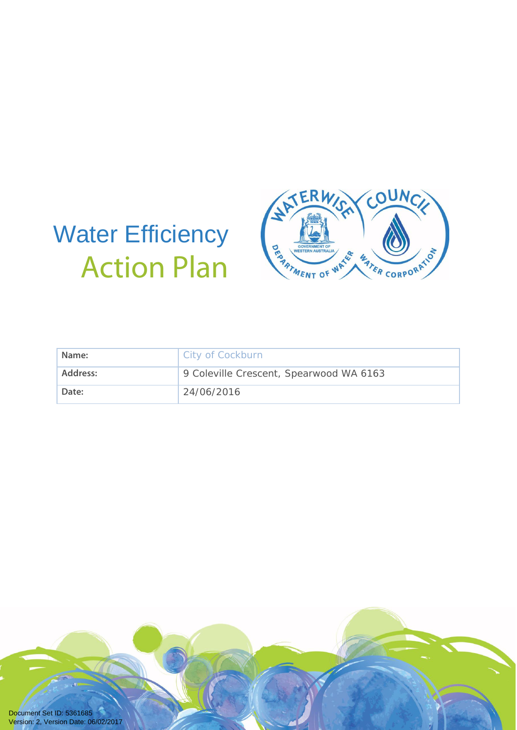# Water Efficiency Action Plan



| Name:    | City of Cockburn                        |
|----------|-----------------------------------------|
| Address: | 9 Coleville Crescent, Spearwood WA 6163 |
| Date:    | 24/06/2016                              |

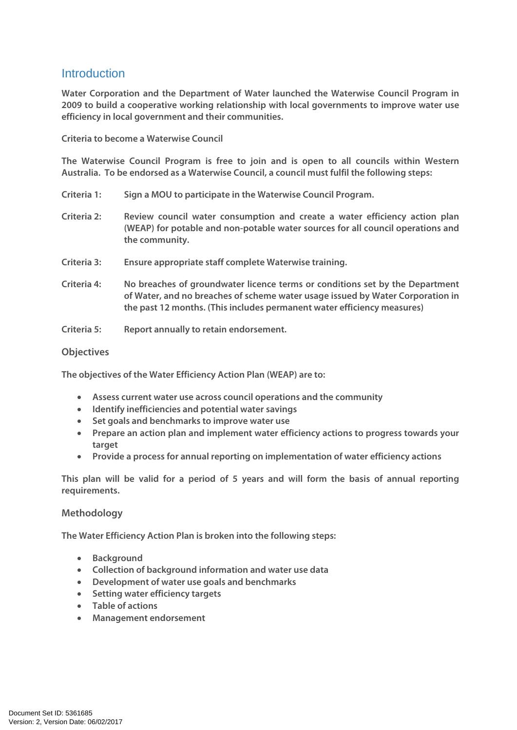# Introduction

**Water Corporation and the Department of Water launched the Waterwise Council Program in 2009 to build a cooperative working relationship with local governments to improve water use efficiency in local government and their communities.** 

**Criteria to become a Waterwise Council** 

**The Waterwise Council Program is free to join and is open to all councils within Western Australia. To be endorsed as a Waterwise Council, a council must fulfil the following steps:** 

- **Criteria 1: Sign a MOU to participate in the Waterwise Council Program.**
- **Criteria 2: Review council water consumption and create a water efficiency action plan (WEAP) for potable and non-potable water sources for all council operations and the community.**
- **Criteria 3: Ensure appropriate staff complete Waterwise training.**
- **Criteria 4: No breaches of groundwater licence terms or conditions set by the Department of Water, and no breaches of scheme water usage issued by Water Corporation in the past 12 months. (This includes permanent water efficiency measures)**
- **Criteria 5: Report annually to retain endorsement.**

#### **Objectives**

**The objectives of the Water Efficiency Action Plan (WEAP) are to:** 

- **Assess current water use across council operations and the community**
- **Identify inefficiencies and potential water savings**
- **Set goals and benchmarks to improve water use**
- **Prepare an action plan and implement water efficiency actions to progress towards your target**
- **Provide a process for annual reporting on implementation of water efficiency actions**

**This plan will be valid for a period of 5 years and will form the basis of annual reporting requirements.** 

#### **Methodology**

**The Water Efficiency Action Plan is broken into the following steps:** 

- **Background**
- **Collection of background information and water use data**
- **Development of water use goals and benchmarks**
- **Setting water efficiency targets**
- **Table of actions**
- **Management endorsement**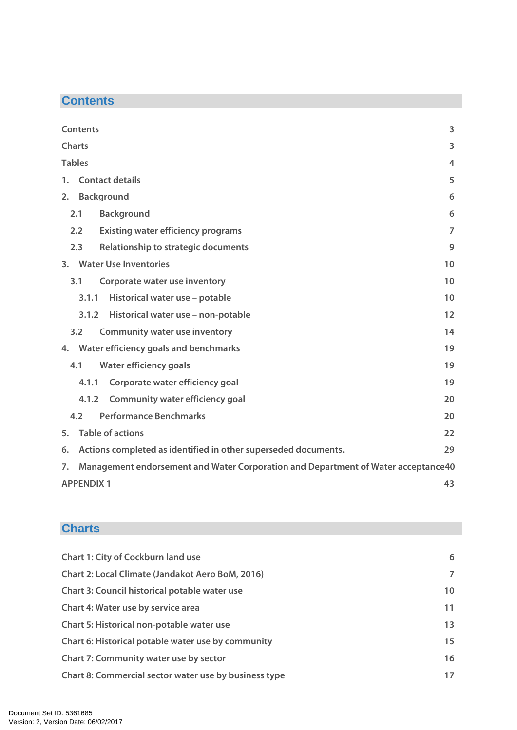# **Contents**

| <b>Contents</b>                                                                         | 3              |
|-----------------------------------------------------------------------------------------|----------------|
| <b>Charts</b>                                                                           | 3              |
| <b>Tables</b>                                                                           | 4              |
| <b>Contact details</b><br>1.                                                            | 5              |
| <b>Background</b><br>2.                                                                 | 6              |
| <b>Background</b><br>2.1                                                                | 6              |
| 2.2<br><b>Existing water efficiency programs</b>                                        | $\overline{7}$ |
| 2.3<br>Relationship to strategic documents                                              | 9              |
| 3. Water Use Inventories                                                                | 10             |
| Corporate water use inventory<br>3.1                                                    | 10             |
| Historical water use - potable<br>3.1.1                                                 | 10             |
| 3.1.2<br>Historical water use - non-potable                                             | 12             |
| 3.2<br><b>Community water use inventory</b>                                             | 14             |
| Water efficiency goals and benchmarks<br>4.                                             | 19             |
| <b>Water efficiency goals</b><br>4.1                                                    | 19             |
| Corporate water efficiency goal<br>4.1.1                                                | 19             |
| <b>Community water efficiency goal</b><br>4.1.2                                         | 20             |
| <b>Performance Benchmarks</b><br>4.2                                                    | 20             |
| <b>Table of actions</b><br>5.                                                           | 22             |
| Actions completed as identified in other superseded documents.<br>6.                    | 29             |
| Management endorsement and Water Corporation and Department of Water acceptance40<br>7. |                |
| <b>APPENDIX 1</b>                                                                       | 43             |

# **Charts**

| <b>Chart 1: City of Cockburn land use</b>               | 6              |
|---------------------------------------------------------|----------------|
| <b>Chart 2: Local Climate (Jandakot Aero BoM, 2016)</b> | $\overline{7}$ |
| <b>Chart 3: Council historical potable water use</b>    | 10             |
| <b>Chart 4: Water use by service area</b>               | 11             |
| Chart 5: Historical non-potable water use               | 13             |
| Chart 6: Historical potable water use by community      | 15             |
| <b>Chart 7: Community water use by sector</b>           | 16             |
| Chart 8: Commercial sector water use by business type   | 17             |
|                                                         |                |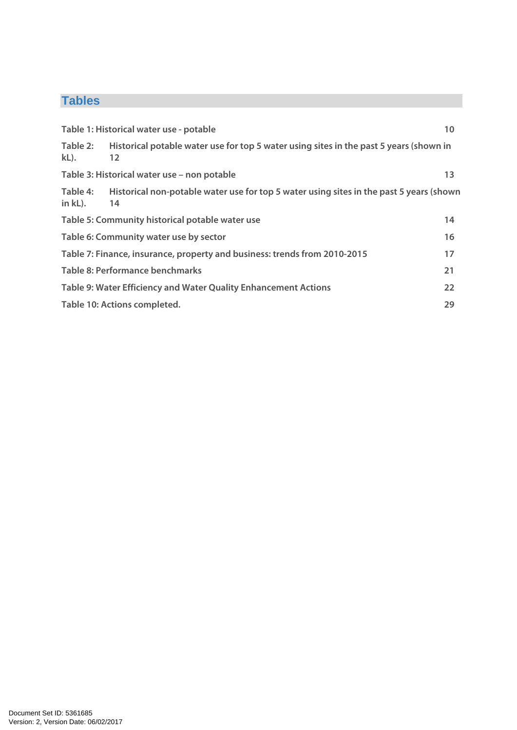# **Tables**

|                     | Table 1: Historical water use - potable                                                       | 10 |
|---------------------|-----------------------------------------------------------------------------------------------|----|
| Table 2:<br>$kL$ ). | Historical potable water use for top 5 water using sites in the past 5 years (shown in<br>12  |    |
|                     | Table 3: Historical water use - non potable                                                   | 13 |
| Table 4:<br>in kL). | Historical non-potable water use for top 5 water using sites in the past 5 years (shown<br>14 |    |
|                     | Table 5: Community historical potable water use                                               | 14 |
|                     | Table 6: Community water use by sector                                                        | 16 |
|                     | Table 7: Finance, insurance, property and business: trends from 2010-2015                     | 17 |
|                     | Table 8: Performance benchmarks                                                               | 21 |
|                     | Table 9: Water Efficiency and Water Quality Enhancement Actions                               | 22 |
|                     | Table 10: Actions completed.                                                                  | 29 |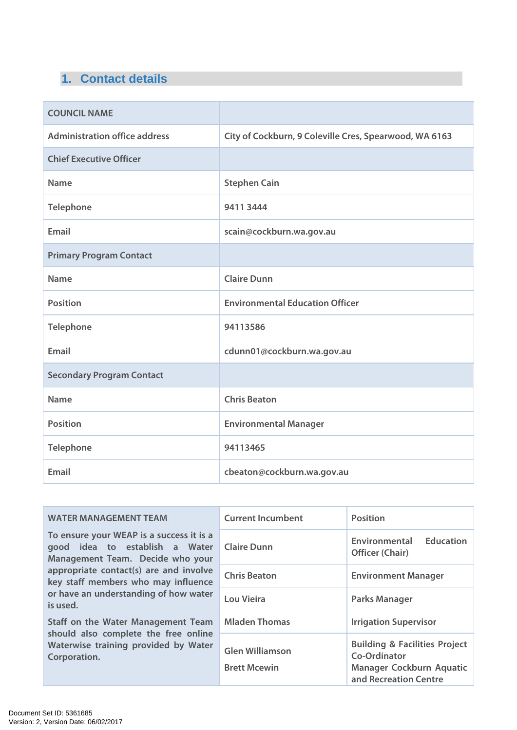# **1. Contact details**

| <b>COUNCIL NAME</b>                  |                                                        |
|--------------------------------------|--------------------------------------------------------|
| <b>Administration office address</b> | City of Cockburn, 9 Coleville Cres, Spearwood, WA 6163 |
| <b>Chief Executive Officer</b>       |                                                        |
| <b>Name</b>                          | <b>Stephen Cain</b>                                    |
| <b>Telephone</b>                     | 9411 3444                                              |
| Email                                | scain@cockburn.wa.gov.au                               |
| <b>Primary Program Contact</b>       |                                                        |
| <b>Name</b>                          | <b>Claire Dunn</b>                                     |
| <b>Position</b>                      | <b>Environmental Education Officer</b>                 |
| <b>Telephone</b>                     | 94113586                                               |
| Email                                | cdunn01@cockburn.wa.gov.au                             |
| <b>Secondary Program Contact</b>     |                                                        |
| <b>Name</b>                          | <b>Chris Beaton</b>                                    |
| <b>Position</b>                      | <b>Environmental Manager</b>                           |
| <b>Telephone</b>                     | 94113465                                               |
| <b>Email</b>                         | cbeaton@cockburn.wa.gov.au                             |

| <b>WATER MANAGEMENT TEAM</b>                                                                                                                                                                                                                         | <b>Current Incumbent</b>                      | <b>Position</b>                                                                                               |  |  |
|------------------------------------------------------------------------------------------------------------------------------------------------------------------------------------------------------------------------------------------------------|-----------------------------------------------|---------------------------------------------------------------------------------------------------------------|--|--|
| To ensure your WEAP is a success it is a<br>good idea to establish a Water<br>Management Team. Decide who your<br>appropriate contact(s) are and involve<br>key staff members who may influence<br>or have an understanding of how water<br>is used. | <b>Claire Dunn</b>                            | <b>Education</b><br>Environmental<br><b>Officer (Chair)</b>                                                   |  |  |
|                                                                                                                                                                                                                                                      | <b>Chris Beaton</b>                           | <b>Environment Manager</b>                                                                                    |  |  |
|                                                                                                                                                                                                                                                      | Lou Vieira                                    | <b>Parks Manager</b>                                                                                          |  |  |
| Staff on the Water Management Team                                                                                                                                                                                                                   | <b>Mladen Thomas</b>                          | <b>Irrigation Supervisor</b>                                                                                  |  |  |
| should also complete the free online<br>Waterwise training provided by Water<br>Corporation.                                                                                                                                                         | <b>Glen Williamson</b><br><b>Brett Mcewin</b> | <b>Building &amp; Facilities Project</b><br>Co-Ordinator<br>Manager Cockburn Aquatic<br>and Recreation Centre |  |  |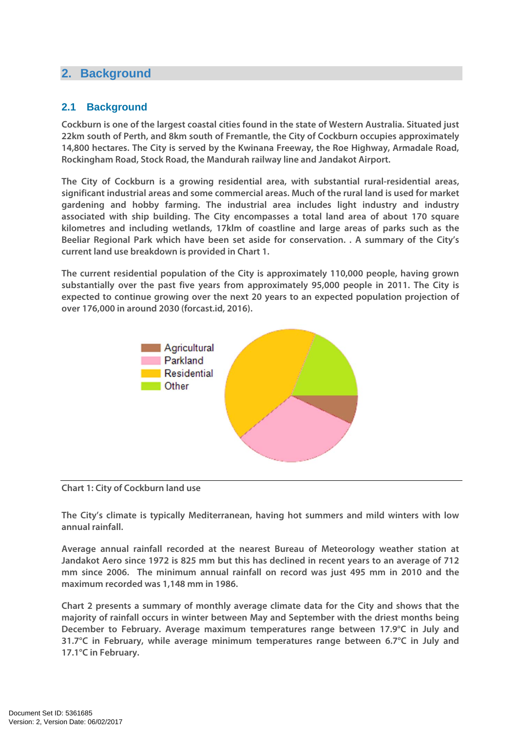# **2. Background**

## **2.1 Background**

**Cockburn is one of the largest coastal cities found in the state of Western Australia. Situated just 22km south of Perth, and 8km south of Fremantle, the City of Cockburn occupies approximately 14,800 hectares. The City is served by the Kwinana Freeway, the Roe Highway, Armadale Road, Rockingham Road, Stock Road, the Mandurah railway line and Jandakot Airport.** 

**The City of Cockburn is a growing residential area, with substantial rural-residential areas, significant industrial areas and some commercial areas. Much of the rural land is used for market gardening and hobby farming. The industrial area includes light industry and industry associated with ship building. The City encompasses a total land area of about 170 square kilometres and including wetlands, 17klm of coastline and large areas of parks such as the Beeliar Regional Park which have been set aside for conservation. . A summary of the City's current land use breakdown is provided in Chart 1.** 

**The current residential population of the City is approximately 110,000 people, having grown substantially over the past five years from approximately 95,000 people in 2011. The City is expected to continue growing over the next 20 years to an expected population projection of over 176,000 in around 2030 (forcast.id, 2016).** 



#### **Chart 1: City of Cockburn land use**

**The City's climate is typically Mediterranean, having hot summers and mild winters with low annual rainfall.** 

**Average annual rainfall recorded at the nearest Bureau of Meteorology weather station at Jandakot Aero since 1972 is 825 mm but this has declined in recent years to an average of 712 mm since 2006. The minimum annual rainfall on record was just 495 mm in 2010 and the maximum recorded was 1,148 mm in 1986.** 

**Chart 2 presents a summary of monthly average climate data for the City and shows that the majority of rainfall occurs in winter between May and September with the driest months being December to February. Average maximum temperatures range between 17.9°C in July and 31.7°C in February, while average minimum temperatures range between 6.7°C in July and 17.1°C in February.**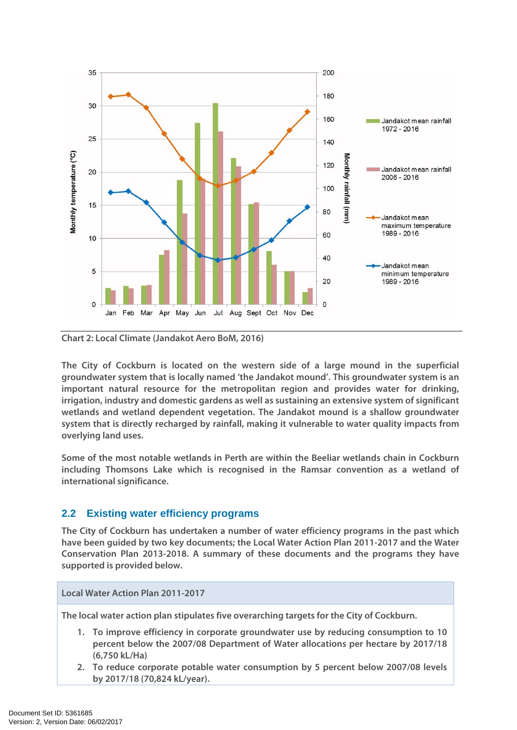

**Chart 2: Local Climate (Jandakot Aero BoM, 2016)** 

**The City of Cockburn is located on the western side of a large mound in the superficial groundwater system that is locally named 'the Jandakot mound'. This groundwater system is an important natural resource for the metropolitan region and provides water for drinking, irrigation, industry and domestic gardens as well as sustaining an extensive system of significant wetlands and wetland dependent vegetation. The Jandakot mound is a shallow groundwater system that is directly recharged by rainfall, making it vulnerable to water quality impacts from overlying land uses.** 

**Some of the most notable wetlands in Perth are within the Beeliar wetlands chain in Cockburn including Thomsons Lake which is recognised in the Ramsar convention as a wetland of international significance.** 

## **2.2 Existing water efficiency programs**

**The City of Cockburn has undertaken a number of water efficiency programs in the past which have been guided by two key documents; the Local Water Action Plan 2011-2017 and the Water Conservation Plan 2013-2018. A summary of these documents and the programs they have supported is provided below.** 

**Local Water Action Plan 2011-2017** 

**The local water action plan stipulates five overarching targets for the City of Cockburn.** 

- **1. To improve efficiency in corporate groundwater use by reducing consumption to 10 percent below the 2007/08 Department of Water allocations per hectare by 2017/18 (6,750 kL/Ha)**
- **2. To reduce corporate potable water consumption by 5 percent below 2007/08 levels by 2017/18 (70,824 kL/year).**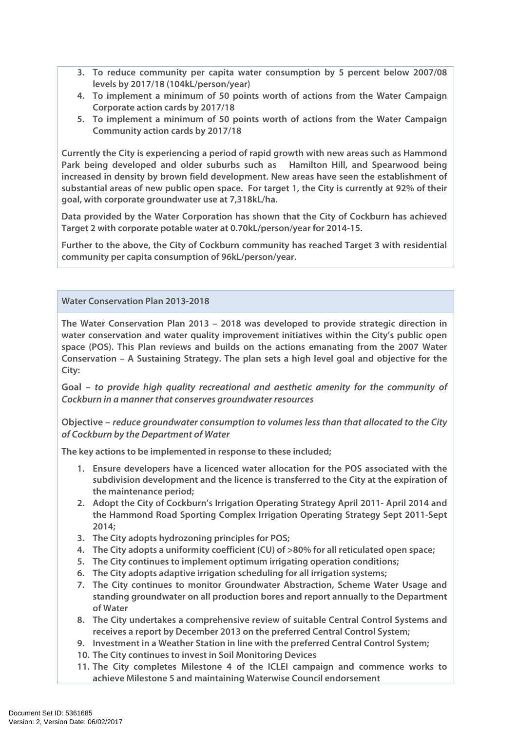- **3. To reduce community per capita water consumption by 5 percent below 2007/08 levels by 2017/18 (104kL/person/year)**
- **4. To implement a minimum of 50 points worth of actions from the Water Campaign Corporate action cards by 2017/18**
- **5. To implement a minimum of 50 points worth of actions from the Water Campaign Community action cards by 2017/18**

**Currently the City is experiencing a period of rapid growth with new areas such as Hammond Park being developed and older suburbs such as Hamilton Hill, and Spearwood being increased in density by brown field development. New areas have seen the establishment of substantial areas of new public open space. For target 1, the City is currently at 92% of their goal, with corporate groundwater use at 7,318kL/ha.** 

**Data provided by the Water Corporation has shown that the City of Cockburn has achieved Target 2 with corporate potable water at 0.70kL/person/year for 2014-15.** 

**Further to the above, the City of Cockburn community has reached Target 3 with residential community per capita consumption of 96kL/person/year.** 

**Water Conservation Plan 2013-2018** 

**The Water Conservation Plan 2013 – 2018 was developed to provide strategic direction in water conservation and water quality improvement initiatives within the City's public open space (POS). This Plan reviews and builds on the actions emanating from the 2007 Water Conservation – A Sustaining Strategy. The plan sets a high level goal and objective for the City:** 

**Goal – to provide high quality recreational and aesthetic amenity for the community of Cockburn in a manner that conserves groundwater resources** 

**Objective – reduce groundwater consumption to volumes less than that allocated to the City of Cockburn by the Department of Water**

**The key actions to be implemented in response to these included;** 

- **1. Ensure developers have a licenced water allocation for the POS associated with the subdivision development and the licence is transferred to the City at the expiration of the maintenance period;**
- **2. Adopt the City of Cockburn's Irrigation Operating Strategy April 2011- April 2014 and the Hammond Road Sporting Complex Irrigation Operating Strategy Sept 2011-Sept 2014;**
- **3. The City adopts hydrozoning principles for POS;**
- **4. The City adopts a uniformity coefficient (CU) of >80% for all reticulated open space;**
- **5. The City continues to implement optimum irrigating operation conditions;**
- **6. The City adopts adaptive irrigation scheduling for all irrigation systems;**
- **7. The City continues to monitor Groundwater Abstraction, Scheme Water Usage and standing groundwater on all production bores and report annually to the Department of Water**
- **8. The City undertakes a comprehensive review of suitable Central Control Systems and receives a report by December 2013 on the preferred Central Control System;**
- **9. Investment in a Weather Station in line with the preferred Central Control System;**
- **10. The City continues to invest in Soil Monitoring Devices**
- **11. The City completes Milestone 4 of the ICLEI campaign and commence works to achieve Milestone 5 and maintaining Waterwise Council endorsement**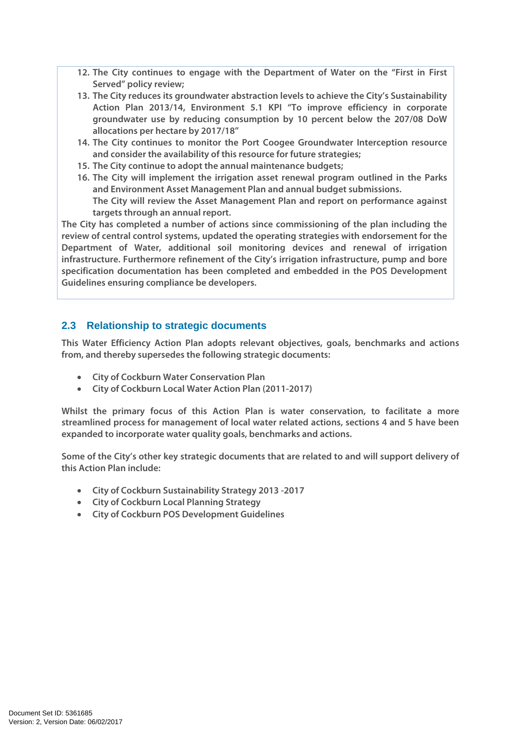- **12. The City continues to engage with the Department of Water on the "First in First Served" policy review;**
- **13. The City reduces its groundwater abstraction levels to achieve the City's Sustainability Action Plan 2013/14, Environment 5.1 KPI "To improve efficiency in corporate groundwater use by reducing consumption by 10 percent below the 207/08 DoW allocations per hectare by 2017/18"**
- **14. The City continues to monitor the Port Coogee Groundwater Interception resource and consider the availability of this resource for future strategies;**
- **15. The City continue to adopt the annual maintenance budgets;**
- **16. The City will implement the irrigation asset renewal program outlined in the Parks and Environment Asset Management Plan and annual budget submissions. The City will review the Asset Management Plan and report on performance against targets through an annual report.**

**The City has completed a number of actions since commissioning of the plan including the review of central control systems, updated the operating strategies with endorsement for the Department of Water, additional soil monitoring devices and renewal of irrigation infrastructure. Furthermore refinement of the City's irrigation infrastructure, pump and bore specification documentation has been completed and embedded in the POS Development Guidelines ensuring compliance be developers.** 

## **2.3 Relationship to strategic documents**

**This Water Efficiency Action Plan adopts relevant objectives, goals, benchmarks and actions from, and thereby supersedes the following strategic documents:** 

- **City of Cockburn Water Conservation Plan**
- **City of Cockburn Local Water Action Plan (2011-2017)**

**Whilst the primary focus of this Action Plan is water conservation, to facilitate a more streamlined process for management of local water related actions, sections 4 and 5 have been expanded to incorporate water quality goals, benchmarks and actions.** 

**Some of the City's other key strategic documents that are related to and will support delivery of this Action Plan include:** 

- **City of Cockburn Sustainability Strategy 2013 -2017**
- **City of Cockburn Local Planning Strategy**
- **City of Cockburn POS Development Guidelines**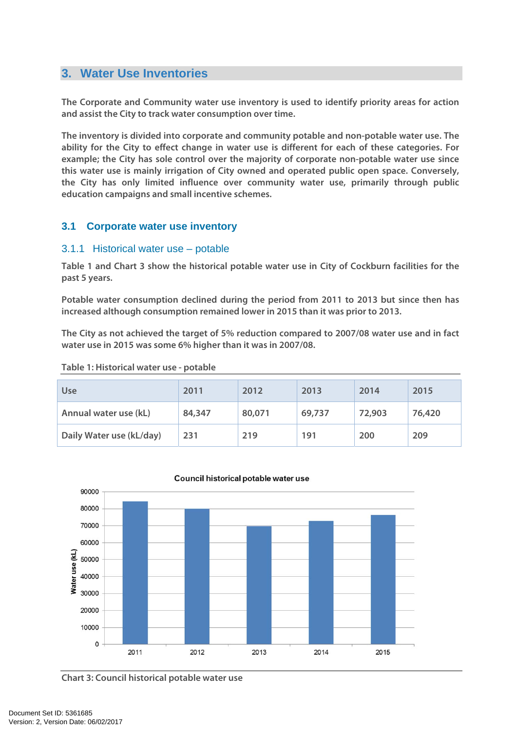# **3. Water Use Inventories**

**The Corporate and Community water use inventory is used to identify priority areas for action and assist the City to track water consumption over time.** 

**The inventory is divided into corporate and community potable and non-potable water use. The ability for the City to effect change in water use is different for each of these categories. For example; the City has sole control over the majority of corporate non-potable water use since this water use is mainly irrigation of City owned and operated public open space. Conversely, the City has only limited influence over community water use, primarily through public education campaigns and small incentive schemes.** 

## **3.1 Corporate water use inventory**

#### 3.1.1 Historical water use – potable

**Table 1 and Chart 3 show the historical potable water use in City of Cockburn facilities for the past 5 years.** 

**Potable water consumption declined during the period from 2011 to 2013 but since then has increased although consumption remained lower in 2015 than it was prior to 2013.** 

**The City as not achieved the target of 5% reduction compared to 2007/08 water use and in fact water use in 2015 was some 6% higher than it was in 2007/08.** 

#### **Table 1: Historical water use - potable**

| Use                      | 2011   | 2012   | 2013   | 2014   | 2015   |
|--------------------------|--------|--------|--------|--------|--------|
| Annual water use (kL)    | 84,347 | 80,071 | 69,737 | 72,903 | 76,420 |
| Daily Water use (kL/day) | 231    | 219    | 191    | 200    | 209    |



#### Council historical potable water use

**Chart 3: Council historical potable water use**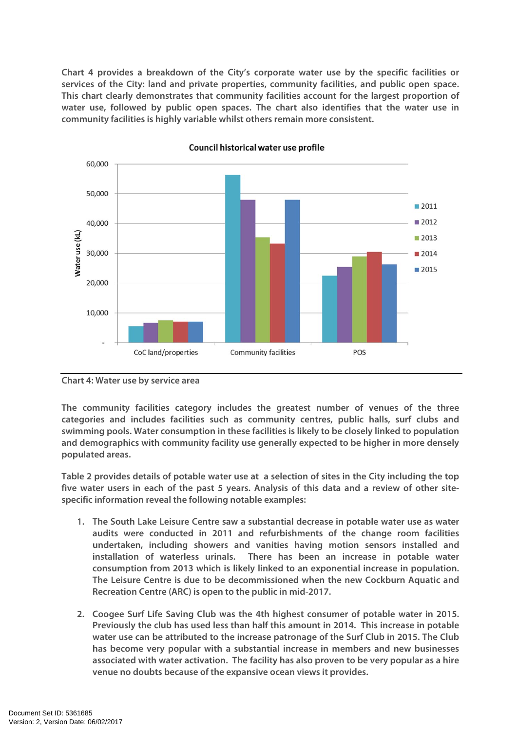**Chart 4 provides a breakdown of the City's corporate water use by the specific facilities or services of the City: land and private properties, community facilities, and public open space. This chart clearly demonstrates that community facilities account for the largest proportion of water use, followed by public open spaces. The chart also identifies that the water use in community facilities is highly variable whilst others remain more consistent.** 



#### Council historical water use profile

**Chart 4: Water use by service area** 

**The community facilities category includes the greatest number of venues of the three categories and includes facilities such as community centres, public halls, surf clubs and swimming pools. Water consumption in these facilities is likely to be closely linked to population and demographics with community facility use generally expected to be higher in more densely populated areas.** 

**Table 2 provides details of potable water use at a selection of sites in the City including the top five water users in each of the past 5 years. Analysis of this data and a review of other sitespecific information reveal the following notable examples:** 

- **1. The South Lake Leisure Centre saw a substantial decrease in potable water use as water audits were conducted in 2011 and refurbishments of the change room facilities undertaken, including showers and vanities having motion sensors installed and installation of waterless urinals. There has been an increase in potable water consumption from 2013 which is likely linked to an exponential increase in population. The Leisure Centre is due to be decommissioned when the new Cockburn Aquatic and Recreation Centre (ARC) is open to the public in mid-2017.**
- **2. Coogee Surf Life Saving Club was the 4th highest consumer of potable water in 2015. Previously the club has used less than half this amount in 2014. This increase in potable water use can be attributed to the increase patronage of the Surf Club in 2015. The Club has become very popular with a substantial increase in members and new businesses associated with water activation. The facility has also proven to be very popular as a hire venue no doubts because of the expansive ocean views it provides.**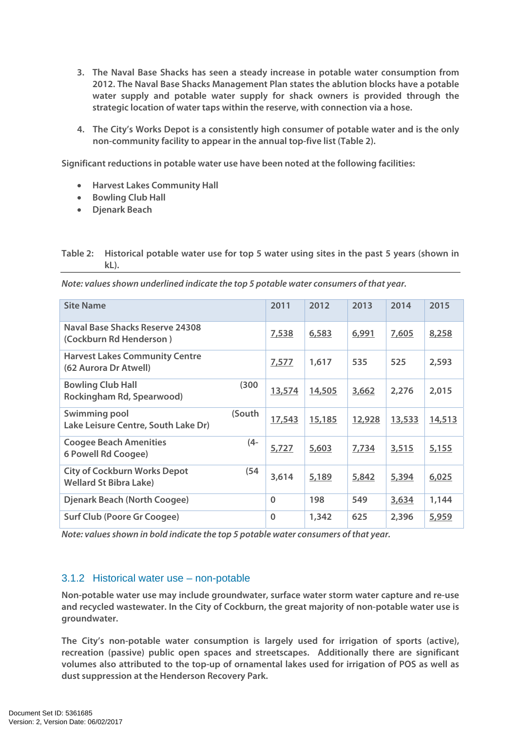- **3. The Naval Base Shacks has seen a steady increase in potable water consumption from 2012. The Naval Base Shacks Management Plan states the ablution blocks have a potable water supply and potable water supply for shack owners is provided through the strategic location of water taps within the reserve, with connection via a hose.**
- **4. The City's Works Depot is a consistently high consumer of potable water and is the only non-community facility to appear in the annual top-five list (Table 2).**

**Significant reductions in potable water use have been noted at the following facilities:** 

- **Harvest Lakes Community Hall**
- **Bowling Club Hall**
- **Djenark Beach**

**Table 2: Historical potable water use for top 5 water using sites in the past 5 years (shown in kL).** 

| <b>Site Name</b>                                                     |        | 2011     | 2012   | 2013   | 2014   | 2015   |
|----------------------------------------------------------------------|--------|----------|--------|--------|--------|--------|
| Naval Base Shacks Reserve 24308<br>(Cockburn Rd Henderson)           |        | 7,538    | 6,583  | 6,991  | 7,605  | 8,258  |
| <b>Harvest Lakes Community Centre</b><br>(62 Aurora Dr Atwell)       |        | 7,577    | 1,617  | 535    | 525    | 2,593  |
| <b>Bowling Club Hall</b><br>Rockingham Rd, Spearwood)                | (300)  | 13,574   | 14,505 | 3,662  | 2,276  | 2,015  |
| Swimming pool<br>Lake Leisure Centre, South Lake Dr)                 | (South | 17,543   | 15,185 | 12,928 | 13,533 | 14,513 |
| <b>Coogee Beach Amenities</b><br>6 Powell Rd Coogee)                 | (4-    | 5,727    | 5,603  | 7,734  | 3,515  | 5,155  |
| <b>City of Cockburn Works Depot</b><br><b>Wellard St Bibra Lake)</b> | (54    | 3,614    | 5,189  | 5,842  | 5,394  | 6,025  |
| <b>Djenark Beach (North Coogee)</b>                                  |        | $\Omega$ | 198    | 549    | 3,634  | 1,144  |
| <b>Surf Club (Poore Gr Coogee)</b>                                   |        | $\Omega$ | 1,342  | 625    | 2,396  | 5,959  |

**Note: values shown in bold indicate the top 5 potable water consumers of that year.** 

## 3.1.2 Historical water use – non-potable

**Non-potable water use may include groundwater, surface water storm water capture and re-use and recycled wastewater. In the City of Cockburn, the great majority of non-potable water use is groundwater.** 

**The City's non-potable water consumption is largely used for irrigation of sports (active), recreation (passive) public open spaces and streetscapes. Additionally there are significant volumes also attributed to the top-up of ornamental lakes used for irrigation of POS as well as dust suppression at the Henderson Recovery Park.**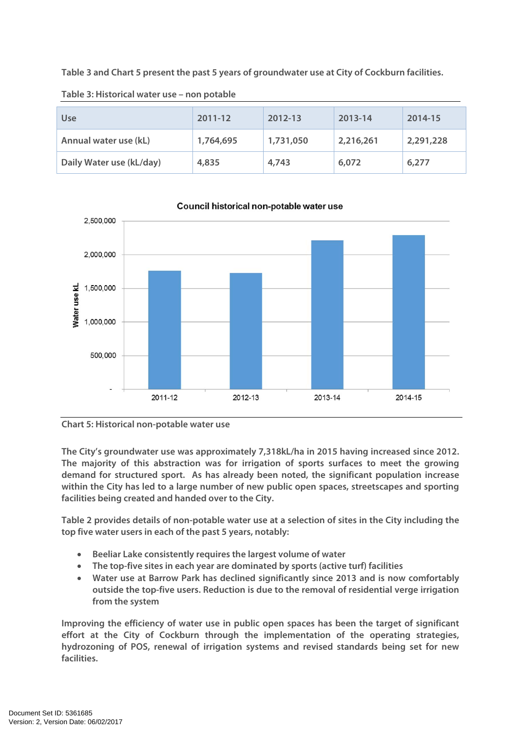**Table 3 and Chart 5 present the past 5 years of groundwater use at City of Cockburn facilities.** 

| <b>Use</b>               | 2011-12   | 2012-13   | 2013-14   | 2014-15   |
|--------------------------|-----------|-----------|-----------|-----------|
| Annual water use (kL)    | 1,764,695 | 1,731,050 | 2,216,261 | 2,291,228 |
| Daily Water use (kL/day) | 4,835     | 4,743     | 6,072     | 6,277     |

**Table 3: Historical water use – non potable** 



Council historical non-potable water use



**The City's groundwater use was approximately 7,318kL/ha in 2015 having increased since 2012. The majority of this abstraction was for irrigation of sports surfaces to meet the growing demand for structured sport. As has already been noted, the significant population increase within the City has led to a large number of new public open spaces, streetscapes and sporting facilities being created and handed over to the City.** 

**Table 2 provides details of non-potable water use at a selection of sites in the City including the top five water users in each of the past 5 years, notably:** 

- **Beeliar Lake consistently requires the largest volume of water**
- **The top-five sites in each year are dominated by sports (active turf) facilities**
- **Water use at Barrow Park has declined significantly since 2013 and is now comfortably outside the top-five users. Reduction is due to the removal of residential verge irrigation from the system**

**Improving the efficiency of water use in public open spaces has been the target of significant effort at the City of Cockburn through the implementation of the operating strategies, hydrozoning of POS, renewal of irrigation systems and revised standards being set for new facilities.**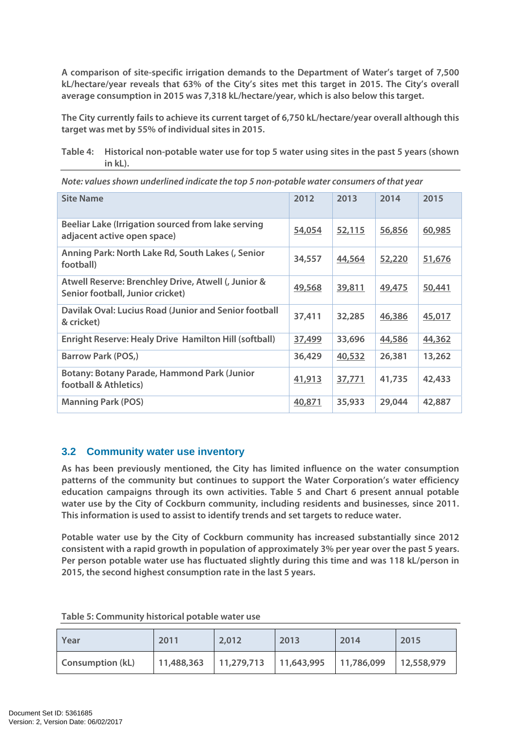**A comparison of site-specific irrigation demands to the Department of Water's target of 7,500 kL/hectare/year reveals that 63% of the City's sites met this target in 2015. The City's overall average consumption in 2015 was 7,318 kL/hectare/year, which is also below this target.** 

**The City currently fails to achieve its current target of 6,750 kL/hectare/year overall although this target was met by 55% of individual sites in 2015.** 

**Table 4: Historical non-potable water use for top 5 water using sites in the past 5 years (shown in kL).** 

| <b>Site Name</b>                                                                        | 2012   | 2013   | 2014   | 2015   |
|-----------------------------------------------------------------------------------------|--------|--------|--------|--------|
| Beeliar Lake (Irrigation sourced from lake serving<br>adjacent active open space)       | 54,054 | 52,115 | 56,856 | 60,985 |
| Anning Park: North Lake Rd, South Lakes (, Senior<br>football)                          | 34,557 | 44,564 | 52,220 | 51,676 |
| Atwell Reserve: Brenchley Drive, Atwell (, Junior &<br>Senior football, Junior cricket) | 49,568 | 39,811 | 49,475 | 50,441 |
| Davilak Oval: Lucius Road (Junior and Senior football<br>& cricket)                     | 37,411 | 32,285 | 46,386 | 45,017 |
| <b>Enright Reserve: Healy Drive Hamilton Hill (softball)</b>                            | 37,499 | 33,696 | 44,586 | 44,362 |
| <b>Barrow Park (POS,)</b>                                                               | 36,429 | 40,532 | 26,381 | 13,262 |
| <b>Botany: Botany Parade, Hammond Park (Junior</b><br>football & Athletics)             | 41,913 | 37,771 | 41,735 | 42,433 |
| <b>Manning Park (POS)</b>                                                               | 40,871 | 35,933 | 29,044 | 42,887 |

**Note: values shown underlined indicate the top 5 non-potable water consumers of that year** 

## **3.2 Community water use inventory**

**As has been previously mentioned, the City has limited influence on the water consumption patterns of the community but continues to support the Water Corporation's water efficiency education campaigns through its own activities. Table 5 and Chart 6 present annual potable water use by the City of Cockburn community, including residents and businesses, since 2011. This information is used to assist to identify trends and set targets to reduce water.** 

**Potable water use by the City of Cockburn community has increased substantially since 2012 consistent with a rapid growth in population of approximately 3% per year over the past 5 years. Per person potable water use has fluctuated slightly during this time and was 118 kL/person in 2015, the second highest consumption rate in the last 5 years.** 

| Year                    | 2011                                                                   | 2,012 | 2013 | 2014 | 2015 |
|-------------------------|------------------------------------------------------------------------|-------|------|------|------|
| <b>Consumption (kL)</b> | $\vert$ 11,488,363   11,279,713   11,643,995   11,786,099   12,558,979 |       |      |      |      |

**Table 5: Community historical potable water use**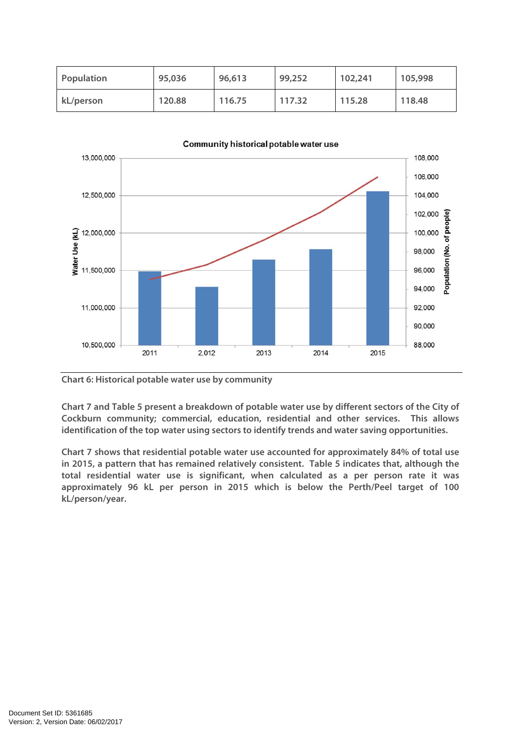| Population | 95,036 | 96,613 | 99,252 | 102,241 | 105,998 |
|------------|--------|--------|--------|---------|---------|
| kL/person  | 120.88 | 116.75 | 117.32 | 115.28  | 118.48  |



Community historical potable water use

**Chart 6: Historical potable water use by community** 

**Chart 7 and Table 5 present a breakdown of potable water use by different sectors of the City of Cockburn community; commercial, education, residential and other services. This allows identification of the top water using sectors to identify trends and water saving opportunities.** 

**Chart 7 shows that residential potable water use accounted for approximately 84% of total use in 2015, a pattern that has remained relatively consistent. Table 5 indicates that, although the total residential water use is significant, when calculated as a per person rate it was approximately 96 kL per person in 2015 which is below the Perth/Peel target of 100 kL/person/year.**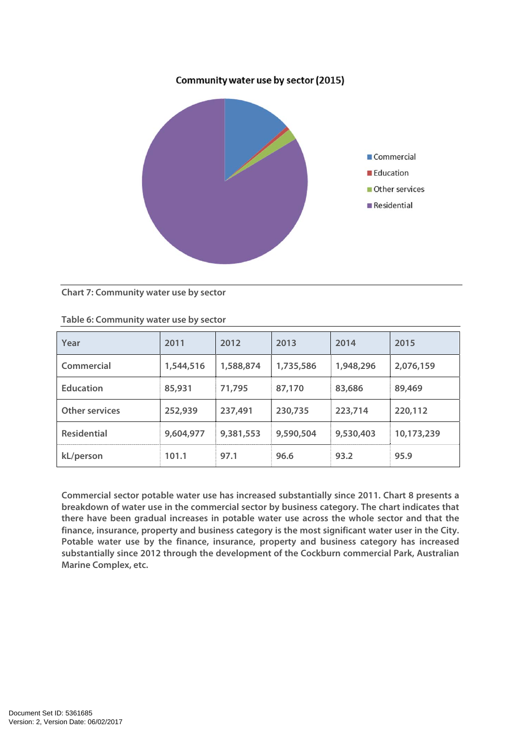## Community water use by sector (2015)



#### **Chart 7: Community water use by sector**

| Year                  | 2011      | 2012      | 2013      | 2014      | 2015       |
|-----------------------|-----------|-----------|-----------|-----------|------------|
| Commercial            | 1,544,516 | 1,588,874 | 1,735,586 | 1,948,296 | 2,076,159  |
| <b>Education</b>      | 85,931    | 71,795    | 87,170    | 83,686    | 89,469     |
| <b>Other services</b> | 252,939   | 237,491   | 230,735   | 223,714   | 220,112    |
| <b>Residential</b>    | 9,604,977 | 9,381,553 | 9,590,504 | 9,530,403 | 10,173,239 |
| kL/person             | 101.1     | 97.1      | 96.6      | 93.2      | 95.9       |

#### **Table 6: Community water use by sector**

**Commercial sector potable water use has increased substantially since 2011. Chart 8 presents a breakdown of water use in the commercial sector by business category. The chart indicates that there have been gradual increases in potable water use across the whole sector and that the finance, insurance, property and business category is the most significant water user in the City. Potable water use by the finance, insurance, property and business category has increased substantially since 2012 through the development of the Cockburn commercial Park, Australian Marine Complex, etc.**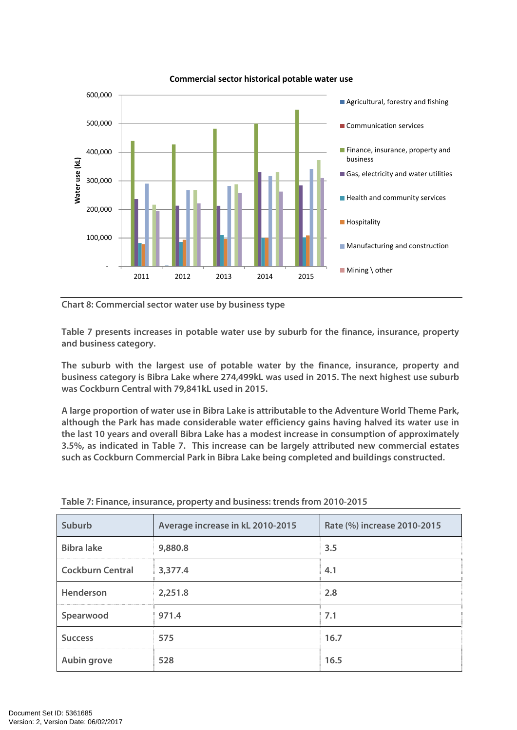

#### **Commercial sector historical potable water use**

**Chart 8: Commercial sector water use by business type** 

**Table 7 presents increases in potable water use by suburb for the finance, insurance, property and business category.** 

**The suburb with the largest use of potable water by the finance, insurance, property and business category is Bibra Lake where 274,499kL was used in 2015. The next highest use suburb was Cockburn Central with 79,841kL used in 2015.** 

**A large proportion of water use in Bibra Lake is attributable to the Adventure World Theme Park, although the Park has made considerable water efficiency gains having halved its water use in the last 10 years and overall Bibra Lake has a modest increase in consumption of approximately 3.5%, as indicated in Table 7. This increase can be largely attributed new commercial estates such as Cockburn Commercial Park in Bibra Lake being completed and buildings constructed.** 

| Suburb                  | Average increase in kL 2010-2015 | Rate (%) increase 2010-2015 |
|-------------------------|----------------------------------|-----------------------------|
| <b>Bibra lake</b>       | 9,880.8                          | 3.5                         |
| <b>Cockburn Central</b> | 3,377.4                          | 4.1                         |
| Henderson               | 2,251.8                          | 2.8                         |
| Spearwood               | 971.4                            | 7.1                         |
| <b>Success</b>          | 575                              | 16.7                        |
| <b>Aubin grove</b>      | 528                              | 16.5                        |

**Table 7: Finance, insurance, property and business: trends from 2010-2015**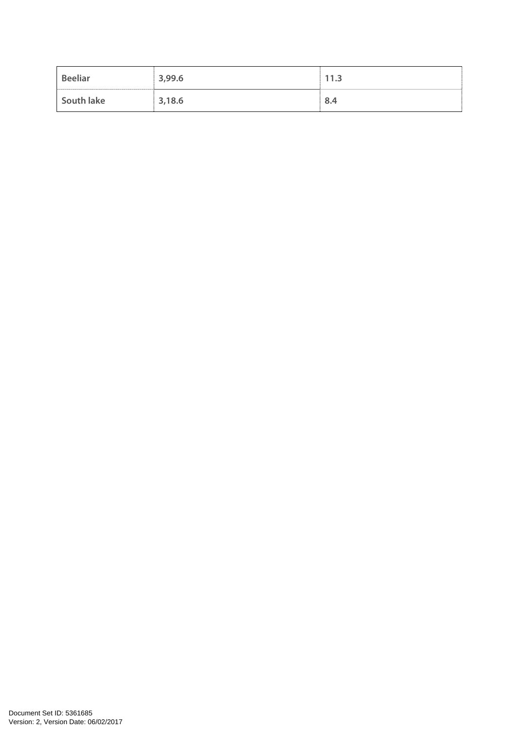| <b>Beeliar</b> | 3,99.6 | 11.3 |
|----------------|--------|------|
| South lake     | 3,18.6 | 8.4  |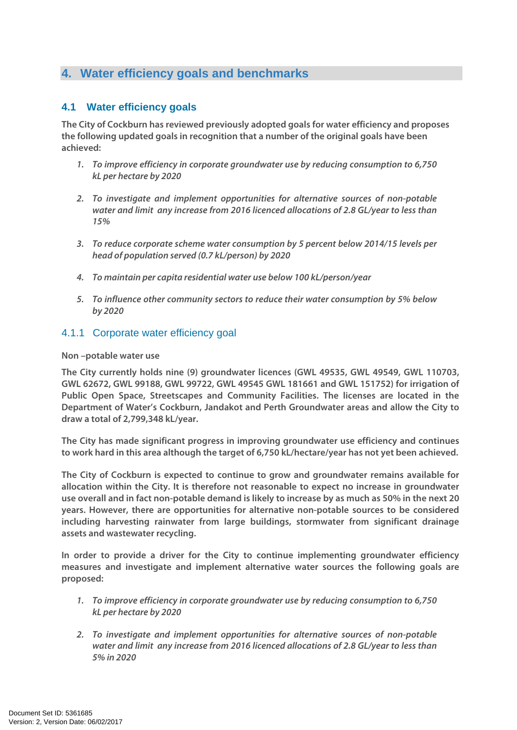# **4. Water efficiency goals and benchmarks**

## **4.1 Water efficiency goals**

**The City of Cockburn has reviewed previously adopted goals for water efficiency and proposes the following updated goals in recognition that a number of the original goals have been achieved:** 

- **1. To improve efficiency in corporate groundwater use by reducing consumption to 6,750 kL per hectare by 2020**
- **2. To investigate and implement opportunities for alternative sources of non-potable water and limit any increase from 2016 licenced allocations of 2.8 GL/year to less than 15%**
- **3. To reduce corporate scheme water consumption by 5 percent below 2014/15 levels per head of population served (0.7 kL/person) by 2020**
- **4. To maintain per capita residential water use below 100 kL/person/year**
- **5. To influence other community sectors to reduce their water consumption by 5% below by 2020**

## 4.1.1 Corporate water efficiency goal

#### **Non –potable water use**

**The City currently holds nine (9) groundwater licences (GWL 49535, GWL 49549, GWL 110703, GWL 62672, GWL 99188, GWL 99722, GWL 49545 GWL 181661 and GWL 151752) for irrigation of Public Open Space, Streetscapes and Community Facilities. The licenses are located in the Department of Water's Cockburn, Jandakot and Perth Groundwater areas and allow the City to draw a total of 2,799,348 kL/year.** 

**The City has made significant progress in improving groundwater use efficiency and continues to work hard in this area although the target of 6,750 kL/hectare/year has not yet been achieved.** 

**The City of Cockburn is expected to continue to grow and groundwater remains available for allocation within the City. It is therefore not reasonable to expect no increase in groundwater use overall and in fact non-potable demand is likely to increase by as much as 50% in the next 20 years. However, there are opportunities for alternative non-potable sources to be considered including harvesting rainwater from large buildings, stormwater from significant drainage assets and wastewater recycling.** 

**In order to provide a driver for the City to continue implementing groundwater efficiency measures and investigate and implement alternative water sources the following goals are proposed:** 

- **1. To improve efficiency in corporate groundwater use by reducing consumption to 6,750 kL per hectare by 2020**
- **2. To investigate and implement opportunities for alternative sources of non-potable water and limit any increase from 2016 licenced allocations of 2.8 GL/year to less than 5% in 2020**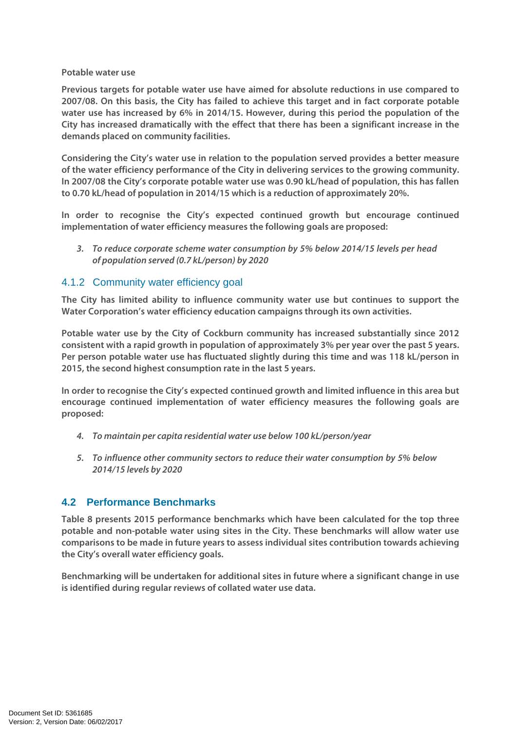#### **Potable water use**

**Previous targets for potable water use have aimed for absolute reductions in use compared to 2007/08. On this basis, the City has failed to achieve this target and in fact corporate potable water use has increased by 6% in 2014/15. However, during this period the population of the City has increased dramatically with the effect that there has been a significant increase in the demands placed on community facilities.** 

**Considering the City's water use in relation to the population served provides a better measure of the water efficiency performance of the City in delivering services to the growing community. In 2007/08 the City's corporate potable water use was 0.90 kL/head of population, this has fallen to 0.70 kL/head of population in 2014/15 which is a reduction of approximately 20%.** 

**In order to recognise the City's expected continued growth but encourage continued implementation of water efficiency measures the following goals are proposed:** 

**3. To reduce corporate scheme water consumption by 5% below 2014/15 levels per head of population served (0.7 kL/person) by 2020** 

## 4.1.2 Community water efficiency goal

**The City has limited ability to influence community water use but continues to support the Water Corporation's water efficiency education campaigns through its own activities.** 

**Potable water use by the City of Cockburn community has increased substantially since 2012 consistent with a rapid growth in population of approximately 3% per year over the past 5 years. Per person potable water use has fluctuated slightly during this time and was 118 kL/person in 2015, the second highest consumption rate in the last 5 years.** 

**In order to recognise the City's expected continued growth and limited influence in this area but encourage continued implementation of water efficiency measures the following goals are proposed:** 

- **4. To maintain per capita residential water use below 100 kL/person/year**
- **5. To influence other community sectors to reduce their water consumption by 5% below 2014/15 levels by 2020**

## **4.2 Performance Benchmarks**

**Table 8 presents 2015 performance benchmarks which have been calculated for the top three potable and non-potable water using sites in the City. These benchmarks will allow water use comparisons to be made in future years to assess individual sites contribution towards achieving the City's overall water efficiency goals.** 

**Benchmarking will be undertaken for additional sites in future where a significant change in use is identified during regular reviews of collated water use data.**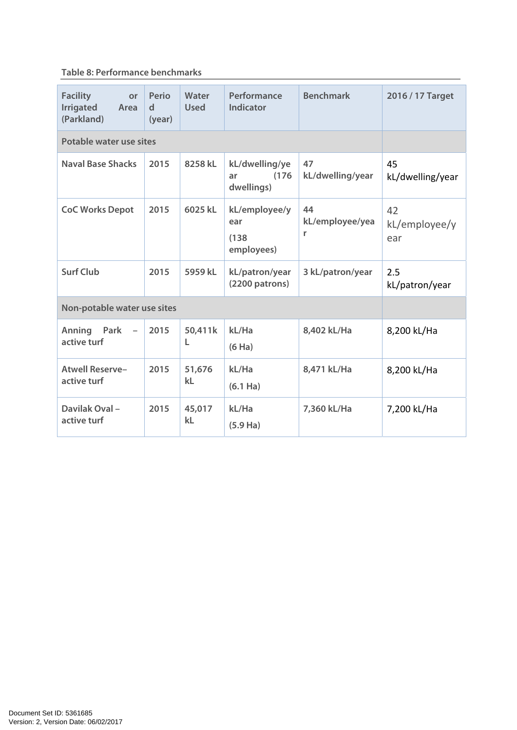## **Table 8: Performance benchmarks**

| <b>Facility</b><br>or<br><b>Irrigated</b><br>Area<br>(Parkland) | Perio<br>d<br>(year) | Water<br><b>Used</b> | Performance<br><b>Indicator</b>             | <b>Benchmark</b>           | 2016 / 17 Target           |
|-----------------------------------------------------------------|----------------------|----------------------|---------------------------------------------|----------------------------|----------------------------|
| Potable water use sites                                         |                      |                      |                                             |                            |                            |
| <b>Naval Base Shacks</b>                                        | 2015                 | 8258 kL              | kL/dwelling/ye<br>(176)<br>ar<br>dwellings) | 47<br>kL/dwelling/year     | 45<br>kL/dwelling/year     |
| <b>CoC Works Depot</b>                                          | 2015                 | 6025 kL              | kL/employee/y<br>ear<br>(138)<br>employees) | 44<br>kL/employee/yea<br>r | 42<br>kL/employee/y<br>ear |
| <b>Surf Club</b>                                                | 2015                 | 5959 kL              | kL/patron/year<br>(2200 patrons)            | 3 kL/patron/year           | 2.5<br>kL/patron/year      |
| Non-potable water use sites                                     |                      |                      |                                             |                            |                            |
| Anning<br>Park<br>$\overline{\phantom{a}}$<br>active turf       | 2015                 | 50,411k<br>L         | kL/Ha<br>(6 Ha)                             | 8,402 kL/Ha                | 8,200 kL/Ha                |
| <b>Atwell Reserve-</b><br>active turf                           | 2015                 | 51,676<br>kL         | kL/Ha<br>$(6.1$ Ha)                         | 8,471 kL/Ha                | 8,200 kL/Ha                |
| Davilak Oval-<br>active turf                                    | 2015                 | 45,017<br>kL         | kL/Ha<br>$(5.9$ Ha)                         | 7,360 kL/Ha                | 7,200 kL/Ha                |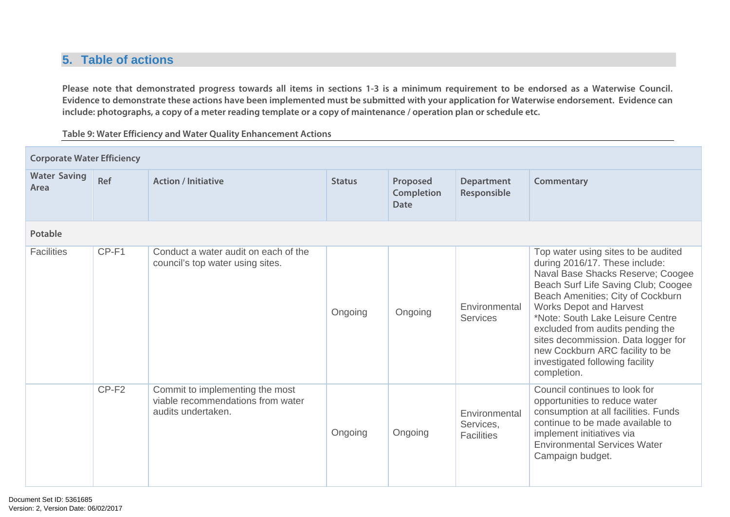# **5. Table of actions**

**Please note that demonstrated progress towards all items in sections 1-3 is a minimum requirement to be endorsed as a Waterwise Council. Evidence to demonstrate these actions have been implemented must be submitted with your application for Waterwise endorsement. Evidence can include: photographs, a copy of a meter reading template or a copy of maintenance / operation plan or schedule etc.** 

**Table 9: Water Efficiency and Water Quality Enhancement Actions** 

| <b>Corporate Water Efficiency</b> |                   |                                                                                            |               |                                              |                                                 |                                                                                                                                                                                                                                                                                                                                                                                                                              |  |  |  |
|-----------------------------------|-------------------|--------------------------------------------------------------------------------------------|---------------|----------------------------------------------|-------------------------------------------------|------------------------------------------------------------------------------------------------------------------------------------------------------------------------------------------------------------------------------------------------------------------------------------------------------------------------------------------------------------------------------------------------------------------------------|--|--|--|
| <b>Water Saving</b><br>Area       | Ref               | <b>Action / Initiative</b>                                                                 | <b>Status</b> | Proposed<br><b>Completion</b><br><b>Date</b> | <b>Department</b><br>Responsible                | Commentary                                                                                                                                                                                                                                                                                                                                                                                                                   |  |  |  |
| <b>Potable</b>                    |                   |                                                                                            |               |                                              |                                                 |                                                                                                                                                                                                                                                                                                                                                                                                                              |  |  |  |
| <b>Facilities</b>                 | CP-F1             | Conduct a water audit on each of the<br>council's top water using sites.                   | Ongoing       | Ongoing                                      | Environmental<br><b>Services</b>                | Top water using sites to be audited<br>during 2016/17. These include:<br>Naval Base Shacks Reserve; Coogee<br>Beach Surf Life Saving Club; Coogee<br>Beach Amenities; City of Cockburn<br><b>Works Depot and Harvest</b><br>*Note: South Lake Leisure Centre<br>excluded from audits pending the<br>sites decommission. Data logger for<br>new Cockburn ARC facility to be<br>investigated following facility<br>completion. |  |  |  |
|                                   | CP-F <sub>2</sub> | Commit to implementing the most<br>viable recommendations from water<br>audits undertaken. | Ongoing       | Ongoing                                      | Environmental<br>Services,<br><b>Facilities</b> | Council continues to look for<br>opportunities to reduce water<br>consumption at all facilities. Funds<br>continue to be made available to<br>implement initiatives via<br><b>Environmental Services Water</b><br>Campaign budget.                                                                                                                                                                                           |  |  |  |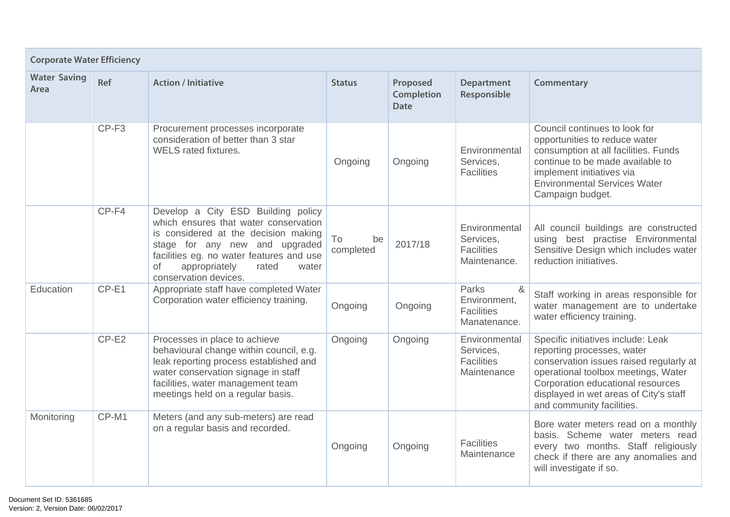| <b>Corporate Water Efficiency</b> |                   |                                                                                                                                                                                                                                                                     |                       |                                       |                                                                 |                                                                                                                                                                                                                                                                |  |  |  |
|-----------------------------------|-------------------|---------------------------------------------------------------------------------------------------------------------------------------------------------------------------------------------------------------------------------------------------------------------|-----------------------|---------------------------------------|-----------------------------------------------------------------|----------------------------------------------------------------------------------------------------------------------------------------------------------------------------------------------------------------------------------------------------------------|--|--|--|
| <b>Water Saving</b><br>Area       | Ref               | <b>Action / Initiative</b>                                                                                                                                                                                                                                          | <b>Status</b>         | Proposed<br><b>Completion</b><br>Date | <b>Department</b><br>Responsible                                | Commentary                                                                                                                                                                                                                                                     |  |  |  |
|                                   | CP-F <sub>3</sub> | Procurement processes incorporate<br>consideration of better than 3 star<br>WELS rated fixtures.                                                                                                                                                                    | Ongoing               | Ongoing                               | Environmental<br>Services,<br><b>Facilities</b>                 | Council continues to look for<br>opportunities to reduce water<br>consumption at all facilities. Funds<br>continue to be made available to<br>implement initiatives via<br><b>Environmental Services Water</b><br>Campaign budget.                             |  |  |  |
|                                   | CP-F4             | Develop a City ESD Building policy<br>which ensures that water conservation<br>is considered at the decision making<br>stage for any new and upgraded<br>facilities eg. no water features and use<br>appropriately<br>rated<br>Οf<br>water<br>conservation devices. | To<br>be<br>completed | 2017/18                               | Environmental<br>Services,<br><b>Facilities</b><br>Maintenance. | All council buildings are constructed<br>using best practise Environmental<br>Sensitive Design which includes water<br>reduction initiatives.                                                                                                                  |  |  |  |
| Education                         | CP-E1             | Appropriate staff have completed Water<br>Corporation water efficiency training.                                                                                                                                                                                    | Ongoing               | Ongoing                               | Parks<br>&<br>Environment,<br><b>Facilities</b><br>Manatenance. | Staff working in areas responsible for<br>water management are to undertake<br>water efficiency training.                                                                                                                                                      |  |  |  |
|                                   | $CP-E2$           | Processes in place to achieve<br>behavioural change within council, e.g.<br>leak reporting process established and<br>water conservation signage in staff<br>facilities, water management team<br>meetings held on a regular basis.                                 | Ongoing               | Ongoing                               | Environmental<br>Services,<br><b>Facilities</b><br>Maintenance  | Specific initiatives include: Leak<br>reporting processes, water<br>conservation issues raised regularly at<br>operational toolbox meetings, Water<br>Corporation educational resources<br>displayed in wet areas of City's staff<br>and community facilities. |  |  |  |
| Monitoring                        | CP-M1             | Meters (and any sub-meters) are read<br>on a regular basis and recorded.                                                                                                                                                                                            | Ongoing               | Ongoing                               | <b>Facilities</b><br>Maintenance                                | Bore water meters read on a monthly<br>basis. Scheme water meters read<br>every two months. Staff religiously<br>check if there are any anomalies and<br>will investigate if so.                                                                               |  |  |  |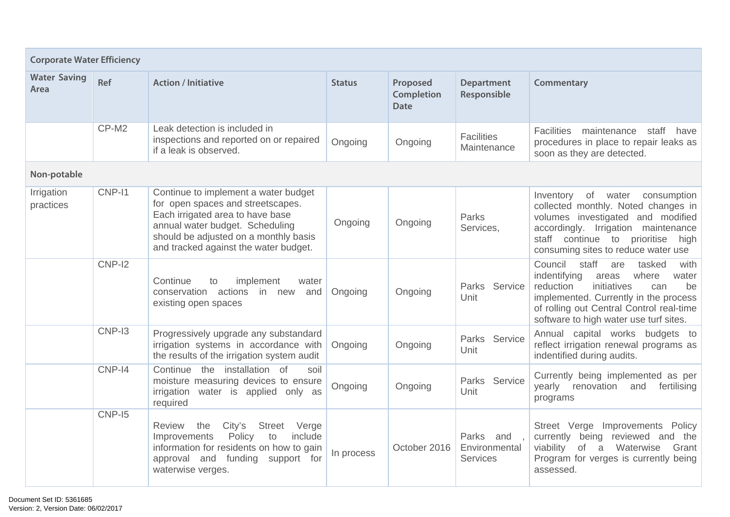| <b>Corporate Water Efficiency</b> |          |                                                                                                                                                                                                                                    |               |                                       |                                               |                                                                                                                                                                                                                                                              |  |  |  |
|-----------------------------------|----------|------------------------------------------------------------------------------------------------------------------------------------------------------------------------------------------------------------------------------------|---------------|---------------------------------------|-----------------------------------------------|--------------------------------------------------------------------------------------------------------------------------------------------------------------------------------------------------------------------------------------------------------------|--|--|--|
| <b>Water Saving</b><br>Area       | Ref      | <b>Action / Initiative</b>                                                                                                                                                                                                         | <b>Status</b> | Proposed<br><b>Completion</b><br>Date | <b>Department</b><br>Responsible              | Commentary                                                                                                                                                                                                                                                   |  |  |  |
|                                   | CP-M2    | Leak detection is included in<br>inspections and reported on or repaired<br>if a leak is observed.                                                                                                                                 | Ongoing       | Ongoing                               | <b>Facilities</b><br>Maintenance              | <b>Facilities</b><br>maintenance<br>staff<br>have<br>procedures in place to repair leaks as<br>soon as they are detected.                                                                                                                                    |  |  |  |
| Non-potable                       |          |                                                                                                                                                                                                                                    |               |                                       |                                               |                                                                                                                                                                                                                                                              |  |  |  |
| Irrigation<br>practices           | CNP-11   | Continue to implement a water budget<br>for open spaces and streetscapes.<br>Each irrigated area to have base<br>annual water budget. Scheduling<br>should be adjusted on a monthly basis<br>and tracked against the water budget. | Ongoing       | Ongoing                               | <b>Parks</b><br>Services,                     | of<br>consumption<br>Inventory<br>water<br>collected monthly. Noted changes in<br>volumes investigated and modified<br>accordingly. Irrigation maintenance<br>staff continue to prioritise<br>high<br>consuming sites to reduce water use                    |  |  |  |
|                                   | $CNP-I2$ | Continue<br>implement<br>to<br>water<br>conservation actions in new<br>and<br>existing open spaces                                                                                                                                 | Ongoing       | Ongoing                               | Parks Service<br>Unit                         | Council<br>staff<br>tasked<br>with<br>are<br>indentifying<br>where<br>water<br>areas<br>reduction<br>initiatives<br>be<br>can<br>implemented. Currently in the process<br>of rolling out Central Control real-time<br>software to high water use turf sites. |  |  |  |
|                                   | CNP-I3   | Progressively upgrade any substandard<br>irrigation systems in accordance with<br>the results of the irrigation system audit                                                                                                       | Ongoing       | Ongoing                               | Parks Service<br>Unit                         | Annual capital works budgets to<br>reflect irrigation renewal programs as<br>indentified during audits.                                                                                                                                                      |  |  |  |
|                                   | CNP-I4   | the installation of<br>Continue<br>soil<br>moisture measuring devices to ensure<br>irrigation water is applied only as<br>required                                                                                                 | Ongoing       | Ongoing                               | Parks Service<br>Unit                         | Currently being implemented as per<br>yearly renovation<br>and<br>fertilising<br>programs                                                                                                                                                                    |  |  |  |
|                                   | CNP-I5   | the<br><b>Street</b><br>Review<br>City's<br>Verge<br>Policy<br>include<br>Improvements<br>to<br>information for residents on how to gain<br>approval and funding support for<br>waterwise verges.                                  | In process    | October 2016                          | Parks and<br>Environmental<br><b>Services</b> | Street Verge<br>Improvements Policy<br>currently being reviewed and the<br>viability<br>of<br>Waterwise<br>Grant<br>a<br>Program for verges is currently being<br>assessed.                                                                                  |  |  |  |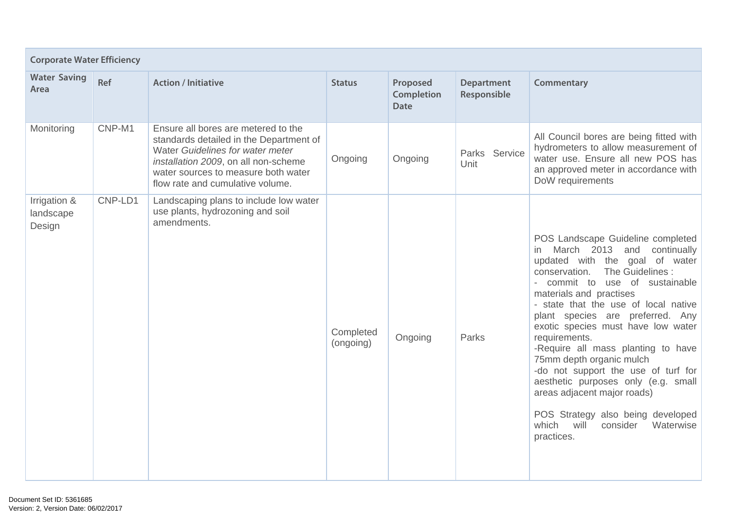|                                     | <b>Corporate Water Efficiency</b> |                                                                                                                                                                                                                                       |                        |                                              |                                  |                                                                                                                                                                                                                                                                                                                                                                                                                                                                                                                                                                                                                      |  |  |  |
|-------------------------------------|-----------------------------------|---------------------------------------------------------------------------------------------------------------------------------------------------------------------------------------------------------------------------------------|------------------------|----------------------------------------------|----------------------------------|----------------------------------------------------------------------------------------------------------------------------------------------------------------------------------------------------------------------------------------------------------------------------------------------------------------------------------------------------------------------------------------------------------------------------------------------------------------------------------------------------------------------------------------------------------------------------------------------------------------------|--|--|--|
| <b>Water Saving</b><br>Area         | Ref                               | <b>Action / Initiative</b>                                                                                                                                                                                                            | <b>Status</b>          | Proposed<br><b>Completion</b><br><b>Date</b> | <b>Department</b><br>Responsible | Commentary                                                                                                                                                                                                                                                                                                                                                                                                                                                                                                                                                                                                           |  |  |  |
| Monitoring                          | CNP-M1                            | Ensure all bores are metered to the<br>standards detailed in the Department of<br>Water Guidelines for water meter<br>installation 2009, on all non-scheme<br>water sources to measure both water<br>flow rate and cumulative volume. | Ongoing                | Ongoing                                      | Parks Service<br>Unit            | All Council bores are being fitted with<br>hydrometers to allow measurement of<br>water use. Ensure all new POS has<br>an approved meter in accordance with<br>DoW requirements                                                                                                                                                                                                                                                                                                                                                                                                                                      |  |  |  |
| Irrigation &<br>landscape<br>Design | CNP-LD1                           | Landscaping plans to include low water<br>use plants, hydrozoning and soil<br>amendments.                                                                                                                                             | Completed<br>(ongoing) | Ongoing                                      | Parks                            | POS Landscape Guideline completed<br>in March 2013 and continually<br>updated with the goal of water<br>conservation.<br>The Guidelines:<br>- commit to use of sustainable<br>materials and practises<br>- state that the use of local native<br>plant species are preferred. Any<br>exotic species must have low water<br>requirements.<br>-Require all mass planting to have<br>75mm depth organic mulch<br>-do not support the use of turf for<br>aesthetic purposes only (e.g. small<br>areas adjacent major roads)<br>POS Strategy also being developed<br>which<br>will<br>Waterwise<br>consider<br>practices. |  |  |  |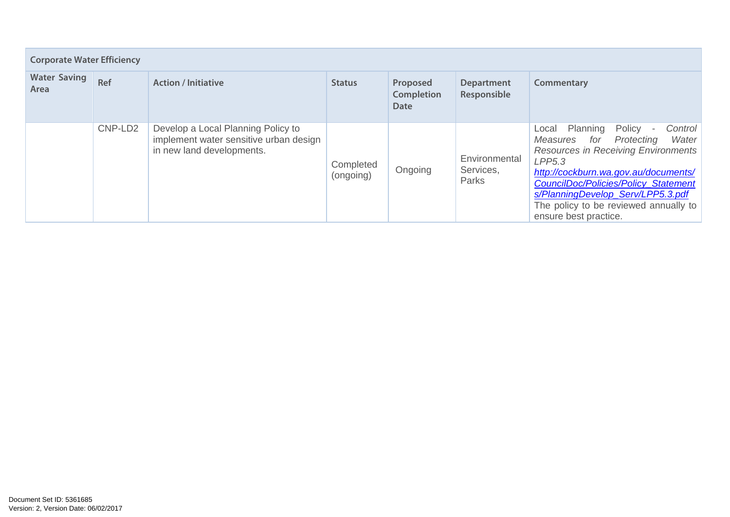| <b>Corporate Water Efficiency</b> |         |                                                                                                           |                        |                                       |                                     |                                                                                                                                                                                                                                                                                                                                                                    |  |  |  |  |
|-----------------------------------|---------|-----------------------------------------------------------------------------------------------------------|------------------------|---------------------------------------|-------------------------------------|--------------------------------------------------------------------------------------------------------------------------------------------------------------------------------------------------------------------------------------------------------------------------------------------------------------------------------------------------------------------|--|--|--|--|
| <b>Water Saving</b><br>Area       | Ref     | <b>Action / Initiative</b>                                                                                | <b>Status</b>          | Proposed<br><b>Completion</b><br>Date | <b>Department</b><br>Responsible    | Commentary                                                                                                                                                                                                                                                                                                                                                         |  |  |  |  |
|                                   | CNP-LD2 | Develop a Local Planning Policy to<br>implement water sensitive urban design<br>in new land developments. | Completed<br>(ongoing) | Ongoing                               | Environmental<br>Services,<br>Parks | Planning<br>Policy<br>Control<br>Local<br>$\overline{\phantom{a}}$<br>Water<br>for<br>Protecting<br>Measures<br><b>Resources in Receiving Environments</b><br>LPP5.3<br>http://cockburn.wa.gov.au/documents/<br><b>CouncilDoc/Policies/Policy_Statement</b><br>s/PlanningDevelop_Serv/LPP5.3.pdf<br>The policy to be reviewed annually to<br>ensure best practice. |  |  |  |  |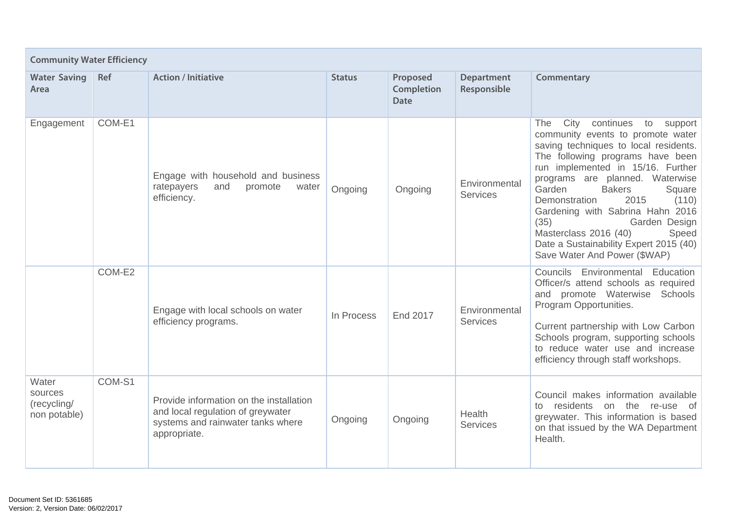| <b>Community Water Efficiency</b>               |            |                                                                                                                                   |               |                                              |                                  |                                                                                                                                                                                                                                                                                                                                                                                                                                                                                     |  |  |  |
|-------------------------------------------------|------------|-----------------------------------------------------------------------------------------------------------------------------------|---------------|----------------------------------------------|----------------------------------|-------------------------------------------------------------------------------------------------------------------------------------------------------------------------------------------------------------------------------------------------------------------------------------------------------------------------------------------------------------------------------------------------------------------------------------------------------------------------------------|--|--|--|
| <b>Water Saving</b><br>Area                     | <b>Ref</b> | <b>Action / Initiative</b>                                                                                                        | <b>Status</b> | Proposed<br><b>Completion</b><br><b>Date</b> | <b>Department</b><br>Responsible | Commentary                                                                                                                                                                                                                                                                                                                                                                                                                                                                          |  |  |  |
| Engagement                                      | COM-E1     | Engage with household and business<br>ratepayers<br>and<br>promote<br>water<br>efficiency.                                        | Ongoing       | Ongoing                                      | Environmental<br><b>Services</b> | City<br>continues<br>The<br>to<br>support<br>community events to promote water<br>saving techniques to local residents.<br>The following programs have been<br>run implemented in 15/16. Further<br>programs are planned. Waterwise<br>Garden<br><b>Bakers</b><br>Square<br>Demonstration<br>2015<br>(110)<br>Gardening with Sabrina Hahn 2016<br>(35)<br>Garden Design<br>Masterclass 2016 (40)<br>Speed<br>Date a Sustainability Expert 2015 (40)<br>Save Water And Power (\$WAP) |  |  |  |
|                                                 | COM-E2     | Engage with local schools on water<br>efficiency programs.                                                                        | In Process    | End 2017                                     | Environmental<br><b>Services</b> | Councils Environmental Education<br>Officer/s attend schools as required<br>and promote Waterwise Schools<br>Program Opportunities.<br>Current partnership with Low Carbon<br>Schools program, supporting schools<br>to reduce water use and increase<br>efficiency through staff workshops.                                                                                                                                                                                        |  |  |  |
| Water<br>sources<br>(recycling/<br>non potable) | COM-S1     | Provide information on the installation<br>and local regulation of greywater<br>systems and rainwater tanks where<br>appropriate. | Ongoing       | Ongoing                                      | Health<br><b>Services</b>        | Council makes information available<br>residents<br>on the re-use of<br>to<br>greywater. This information is based<br>on that issued by the WA Department<br>Health.                                                                                                                                                                                                                                                                                                                |  |  |  |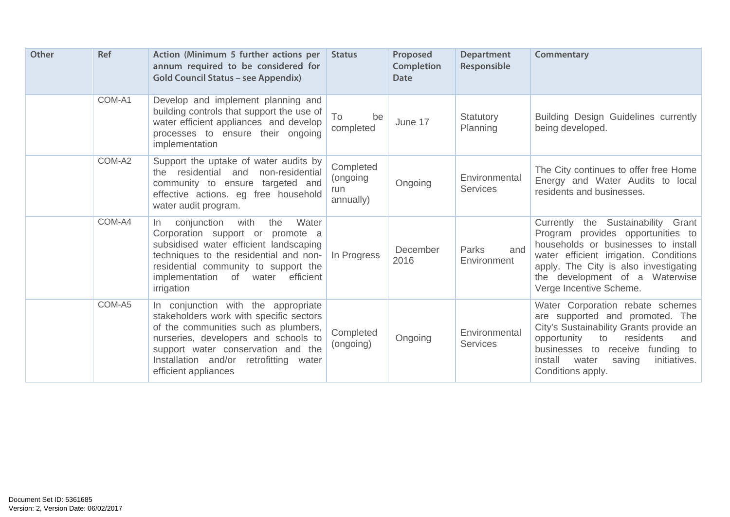| <b>Other</b> | <b>Ref</b> | Action (Minimum 5 further actions per<br>annum required to be considered for<br><b>Gold Council Status - see Appendix)</b>                                                                                                                                             | <b>Status</b>                             | Proposed<br><b>Completion</b><br><b>Date</b> | <b>Department</b><br>Responsible | Commentary                                                                                                                                                                                                                                                     |
|--------------|------------|------------------------------------------------------------------------------------------------------------------------------------------------------------------------------------------------------------------------------------------------------------------------|-------------------------------------------|----------------------------------------------|----------------------------------|----------------------------------------------------------------------------------------------------------------------------------------------------------------------------------------------------------------------------------------------------------------|
|              | COM-A1     | Develop and implement planning and<br>building controls that support the use of<br>water efficient appliances and develop<br>processes to ensure their ongoing<br>implementation                                                                                       | To<br>be<br>completed                     | June 17                                      | Statutory<br>Planning            | <b>Building Design Guidelines currently</b><br>being developed.                                                                                                                                                                                                |
|              | COM-A2     | Support the uptake of water audits by<br>residential and<br>non-residential<br>the<br>community to ensure targeted and<br>effective actions. eg free household<br>water audit program.                                                                                 | Completed<br>(ongoing<br>run<br>annually) | Ongoing                                      | Environmental<br><b>Services</b> | The City continues to offer free Home<br>Energy and Water Audits to local<br>residents and businesses.                                                                                                                                                         |
|              | COM-A4     | with<br>conjunction<br>the<br>Water<br>In In<br>Corporation support or promote a<br>subsidised water efficient landscaping<br>techniques to the residential and non-<br>residential community to support the<br>implementation of water<br>efficient<br>irrigation     | In Progress                               | December<br>2016                             | and<br>Parks<br>Environment      | Currently the Sustainability Grant<br>Program provides opportunities to<br>households or businesses to install<br>water efficient irrigation. Conditions<br>apply. The City is also investigating<br>the development of a Waterwise<br>Verge Incentive Scheme. |
|              | COM-A5     | In conjunction with the appropriate<br>stakeholders work with specific sectors<br>of the communities such as plumbers,<br>nurseries, developers and schools to<br>support water conservation and the<br>Installation and/or retrofitting water<br>efficient appliances | Completed<br>(ongoing)                    | Ongoing                                      | Environmental<br><b>Services</b> | Water Corporation rebate schemes<br>are supported and promoted. The<br>City's Sustainability Grants provide an<br>opportunity<br>residents<br>to<br>and<br>businesses to receive funding to<br>install<br>water<br>saving<br>initiatives.<br>Conditions apply. |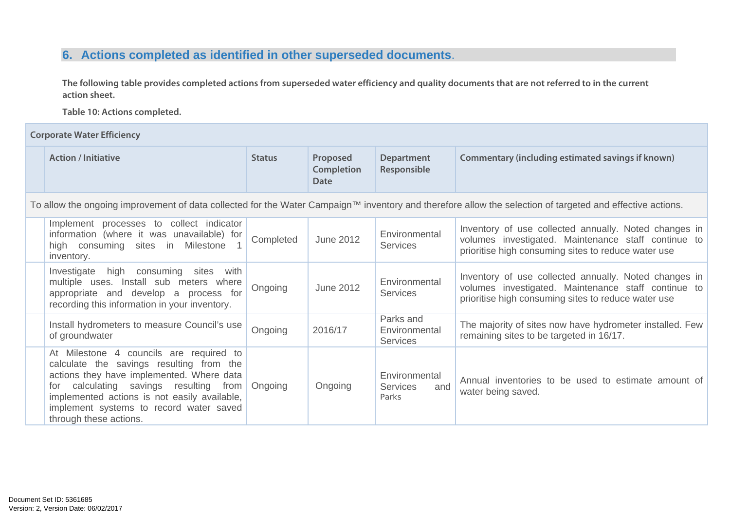# **6. Actions completed as identified in other superseded documents**.

**The following table provides completed actions from superseded water efficiency and quality documents that are not referred to in the current action sheet.** 

**Table 10: Actions completed.** 

**Corporate Water Efficiency** 

| <b>Action / Initiative</b>                                                                                                                                                                                                                                                                         | <b>Status</b> | Proposed<br><b>Completion</b><br>Date | <b>Department</b><br>Responsible                 | Commentary (including estimated savings if known)                                                                                                                   |
|----------------------------------------------------------------------------------------------------------------------------------------------------------------------------------------------------------------------------------------------------------------------------------------------------|---------------|---------------------------------------|--------------------------------------------------|---------------------------------------------------------------------------------------------------------------------------------------------------------------------|
|                                                                                                                                                                                                                                                                                                    |               |                                       |                                                  | To allow the ongoing improvement of data collected for the Water Campaign™ inventory and therefore allow the selection of targeted and effective actions.           |
| Implement processes to collect indicator<br>information (where it was unavailable) for<br>high consuming sites in<br>Milestone<br>inventory.                                                                                                                                                       | Completed     | <b>June 2012</b>                      | Environmental<br><b>Services</b>                 | Inventory of use collected annually. Noted changes in<br>volumes investigated. Maintenance staff continue to<br>prioritise high consuming sites to reduce water use |
| Investigate<br>high consuming sites with<br>multiple uses. Install sub meters where<br>appropriate and develop a process for<br>recording this information in your inventory.                                                                                                                      | Ongoing       | June 2012                             | Environmental<br><b>Services</b>                 | Inventory of use collected annually. Noted changes in<br>volumes investigated. Maintenance staff continue to<br>prioritise high consuming sites to reduce water use |
| Install hydrometers to measure Council's use<br>of groundwater                                                                                                                                                                                                                                     | Ongoing       | 2016/17                               | Parks and<br>Environmental<br><b>Services</b>    | The majority of sites now have hydrometer installed. Few<br>remaining sites to be targeted in 16/17.                                                                |
| At Milestone 4 councils are required to<br>calculate the savings resulting from the<br>actions they have implemented. Where data<br>calculating savings resulting from<br>tor<br>implemented actions is not easily available,<br>implement systems to record water saved<br>through these actions. | Ongoing       | Ongoing                               | Environmental<br><b>Services</b><br>and<br>Parks | Annual inventories to be used to estimate amount of<br>water being saved.                                                                                           |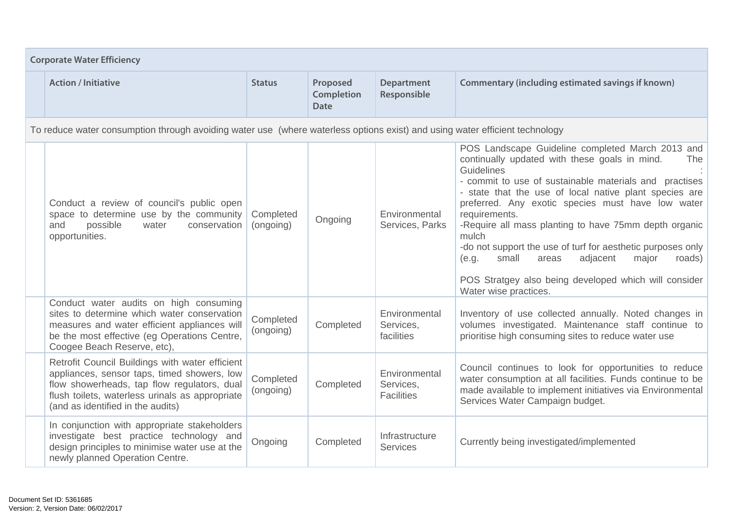| <b>Corporate Water Efficiency</b>                                                                                                                                                                                                     |                        |                                              |                                                 |                                                                                                                                                                                                                                                                                                                                                                                                                                                                                                                                                                                               |  |  |  |
|---------------------------------------------------------------------------------------------------------------------------------------------------------------------------------------------------------------------------------------|------------------------|----------------------------------------------|-------------------------------------------------|-----------------------------------------------------------------------------------------------------------------------------------------------------------------------------------------------------------------------------------------------------------------------------------------------------------------------------------------------------------------------------------------------------------------------------------------------------------------------------------------------------------------------------------------------------------------------------------------------|--|--|--|
| <b>Action / Initiative</b>                                                                                                                                                                                                            | <b>Status</b>          | Proposed<br><b>Completion</b><br><b>Date</b> | <b>Department</b><br>Responsible                | Commentary (including estimated savings if known)                                                                                                                                                                                                                                                                                                                                                                                                                                                                                                                                             |  |  |  |
| To reduce water consumption through avoiding water use (where waterless options exist) and using water efficient technology                                                                                                           |                        |                                              |                                                 |                                                                                                                                                                                                                                                                                                                                                                                                                                                                                                                                                                                               |  |  |  |
| Conduct a review of council's public open<br>space to determine use by the community<br>possible<br>and<br>water<br>conservation<br>opportunities.                                                                                    | Completed<br>(ongoing) | Ongoing                                      | Environmental<br>Services, Parks                | POS Landscape Guideline completed March 2013 and<br>continually updated with these goals in mind.<br>The<br>Guidelines<br>- commit to use of sustainable materials and practises<br>- state that the use of local native plant species are<br>preferred. Any exotic species must have low water<br>requirements.<br>-Require all mass planting to have 75mm depth organic<br>mulch<br>-do not support the use of turf for aesthetic purposes only<br>small<br>adjacent<br>major<br>areas<br>roads)<br>(e.g.<br>POS Stratgey also being developed which will consider<br>Water wise practices. |  |  |  |
| Conduct water audits on high consuming<br>sites to determine which water conservation<br>measures and water efficient appliances will<br>be the most effective (eg Operations Centre,<br>Coogee Beach Reserve, etc),                  | Completed<br>(ongoing) | Completed                                    | Environmental<br>Services,<br>facilities        | Inventory of use collected annually. Noted changes in<br>volumes investigated. Maintenance staff continue to<br>prioritise high consuming sites to reduce water use                                                                                                                                                                                                                                                                                                                                                                                                                           |  |  |  |
| Retrofit Council Buildings with water efficient<br>appliances, sensor taps, timed showers, low<br>flow showerheads, tap flow regulators, dual<br>flush toilets, waterless urinals as appropriate<br>(and as identified in the audits) | Completed<br>(ongoing) | Completed                                    | Environmental<br>Services,<br><b>Facilities</b> | Council continues to look for opportunities to reduce<br>water consumption at all facilities. Funds continue to be<br>made available to implement initiatives via Environmental<br>Services Water Campaign budget.                                                                                                                                                                                                                                                                                                                                                                            |  |  |  |
| In conjunction with appropriate stakeholders<br>investigate best practice technology and<br>design principles to minimise water use at the<br>newly planned Operation Centre.                                                         | Ongoing                | Completed                                    | Infrastructure<br><b>Services</b>               | Currently being investigated/implemented                                                                                                                                                                                                                                                                                                                                                                                                                                                                                                                                                      |  |  |  |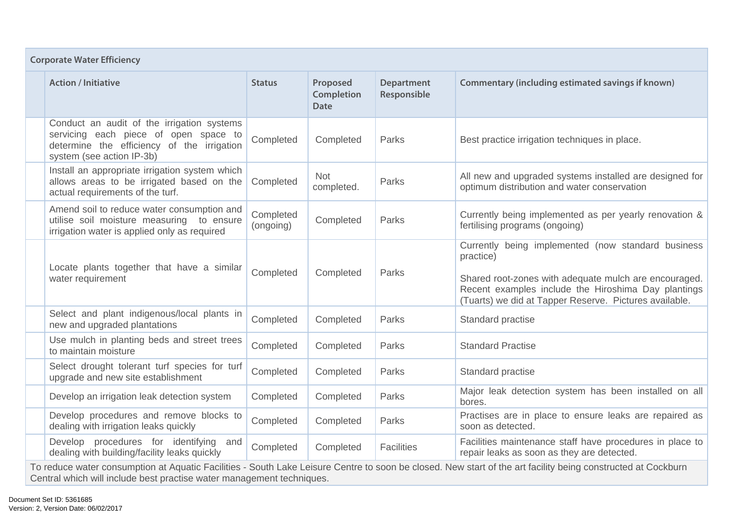| <b>Corporate Water Efficiency</b> |                                                                                                                                                                                                                                       |                        |                                              |                                  |                                                                                                                                                                                                                                           |  |  |
|-----------------------------------|---------------------------------------------------------------------------------------------------------------------------------------------------------------------------------------------------------------------------------------|------------------------|----------------------------------------------|----------------------------------|-------------------------------------------------------------------------------------------------------------------------------------------------------------------------------------------------------------------------------------------|--|--|
|                                   | <b>Action / Initiative</b>                                                                                                                                                                                                            | <b>Status</b>          | Proposed<br><b>Completion</b><br><b>Date</b> | <b>Department</b><br>Responsible | <b>Commentary (including estimated savings if known)</b>                                                                                                                                                                                  |  |  |
|                                   | Conduct an audit of the irrigation systems<br>servicing each piece of open space to<br>determine the efficiency of the irrigation<br>system (see action IP-3b)                                                                        | Completed              | Completed                                    | Parks                            | Best practice irrigation techniques in place.                                                                                                                                                                                             |  |  |
|                                   | Install an appropriate irrigation system which<br>allows areas to be irrigated based on the<br>actual requirements of the turf.                                                                                                       | Completed              | <b>Not</b><br>completed.                     | Parks                            | All new and upgraded systems installed are designed for<br>optimum distribution and water conservation                                                                                                                                    |  |  |
|                                   | Amend soil to reduce water consumption and<br>utilise soil moisture measuring to ensure<br>irrigation water is applied only as required                                                                                               | Completed<br>(ongoing) | Completed                                    | Parks                            | Currently being implemented as per yearly renovation &<br>fertilising programs (ongoing)                                                                                                                                                  |  |  |
|                                   | Locate plants together that have a similar<br>water requirement                                                                                                                                                                       | Completed              | Completed                                    | Parks                            | Currently being implemented (now standard business<br>practice)<br>Shared root-zones with adequate mulch are encouraged.<br>Recent examples include the Hiroshima Day plantings<br>(Tuarts) we did at Tapper Reserve. Pictures available. |  |  |
|                                   | Select and plant indigenous/local plants in<br>new and upgraded plantations                                                                                                                                                           | Completed              | Completed                                    | Parks                            | Standard practise                                                                                                                                                                                                                         |  |  |
|                                   | Use mulch in planting beds and street trees<br>to maintain moisture                                                                                                                                                                   | Completed              | Completed                                    | Parks                            | <b>Standard Practise</b>                                                                                                                                                                                                                  |  |  |
|                                   | Select drought tolerant turf species for turf<br>upgrade and new site establishment                                                                                                                                                   | Completed              | Completed                                    | Parks                            | Standard practise                                                                                                                                                                                                                         |  |  |
|                                   | Develop an irrigation leak detection system                                                                                                                                                                                           | Completed              | Completed                                    | Parks                            | Major leak detection system has been installed on all<br>bores.                                                                                                                                                                           |  |  |
|                                   | Develop procedures and remove blocks to<br>dealing with irrigation leaks quickly                                                                                                                                                      | Completed              | Completed                                    | Parks                            | Practises are in place to ensure leaks are repaired as<br>soon as detected.                                                                                                                                                               |  |  |
|                                   | Develop procedures for identifying<br>and<br>dealing with building/facility leaks quickly                                                                                                                                             | Completed              | Completed                                    | <b>Facilities</b>                | Facilities maintenance staff have procedures in place to<br>repair leaks as soon as they are detected.                                                                                                                                    |  |  |
|                                   | To reduce water consumption at Aquatic Facilities - South Lake Leisure Centre to soon be closed. New start of the art facility being constructed at Cockburn<br>Central which will include best practise water management techniques. |                        |                                              |                                  |                                                                                                                                                                                                                                           |  |  |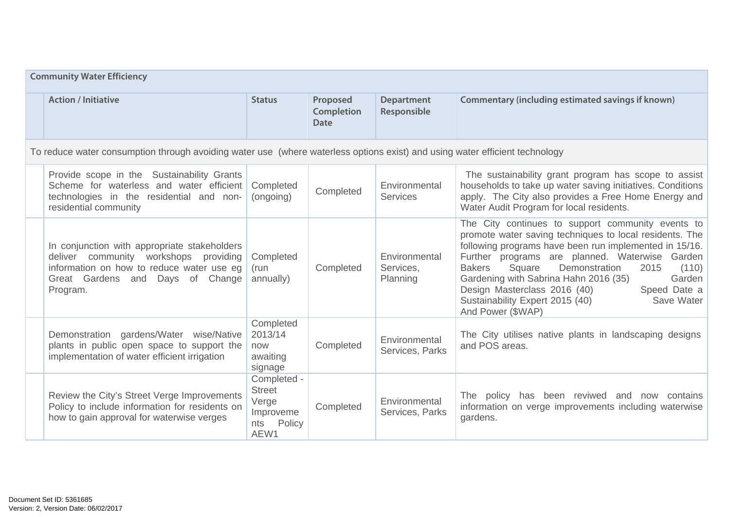| <b>Community Water Efficiency</b>                                                                                                                                                        |                                                                             |                                              |                                        |                                                                                                                                                                                                                                                                                                                                                                                                                                                                |  |  |
|------------------------------------------------------------------------------------------------------------------------------------------------------------------------------------------|-----------------------------------------------------------------------------|----------------------------------------------|----------------------------------------|----------------------------------------------------------------------------------------------------------------------------------------------------------------------------------------------------------------------------------------------------------------------------------------------------------------------------------------------------------------------------------------------------------------------------------------------------------------|--|--|
| <b>Action / Initiative</b>                                                                                                                                                               | <b>Status</b>                                                               | Proposed<br><b>Completion</b><br><b>Date</b> | <b>Department</b><br>Responsible       | Commentary (including estimated savings if known)                                                                                                                                                                                                                                                                                                                                                                                                              |  |  |
| To reduce water consumption through avoiding water use (where waterless options exist) and using water efficient technology                                                              |                                                                             |                                              |                                        |                                                                                                                                                                                                                                                                                                                                                                                                                                                                |  |  |
| Provide scope in the Sustainability Grants<br>Scheme for waterless and water efficient<br>technologies in the residential and non-<br>residential community                              | Completed<br>(ongoing)                                                      | Completed                                    | Environmental<br>Services              | The sustainability grant program has scope to assist<br>households to take up water saving initiatives. Conditions<br>apply. The City also provides a Free Home Energy and<br>Water Audit Program for local residents.                                                                                                                                                                                                                                         |  |  |
| In conjunction with appropriate stakeholders<br>deliver community workshops providing<br>information on how to reduce water use eg<br>Great Gardens and<br>Days<br>of Change<br>Program. | Completed<br>(run<br>annually)                                              | Completed                                    | Environmental<br>Services,<br>Planning | The City continues to support community events to<br>promote water saving techniques to local residents. The<br>following programs have been run implemented in 15/16.<br>Further programs are planned. Waterwise Garden<br>Demonstration<br>Square<br>2015<br>(110)<br><b>Bakers</b><br>Gardening with Sabrina Hahn 2016 (35)<br>Garden<br>Design Masterclass 2016 (40)<br>Speed Date a<br>Sustainability Expert 2015 (40)<br>Save Water<br>And Power (\$WAP) |  |  |
| Demonstration gardens/Water wise/Native<br>plants in public open space to support the<br>implementation of water efficient irrigation                                                    | Completed<br>2013/14<br>now<br>awaiting<br>signage                          | Completed                                    | Environmental<br>Services, Parks       | The City utilises native plants in landscaping designs<br>and POS areas.                                                                                                                                                                                                                                                                                                                                                                                       |  |  |
| Review the City's Street Verge Improvements<br>Policy to include information for residents on<br>how to gain approval for waterwise verges                                               | Completed -<br><b>Street</b><br>Verge<br>Improveme<br>Policy<br>nts<br>AEW1 | Completed                                    | Environmental<br>Services, Parks       | The policy has been reviwed and now contains<br>information on verge improvements including waterwise<br>gardens.                                                                                                                                                                                                                                                                                                                                              |  |  |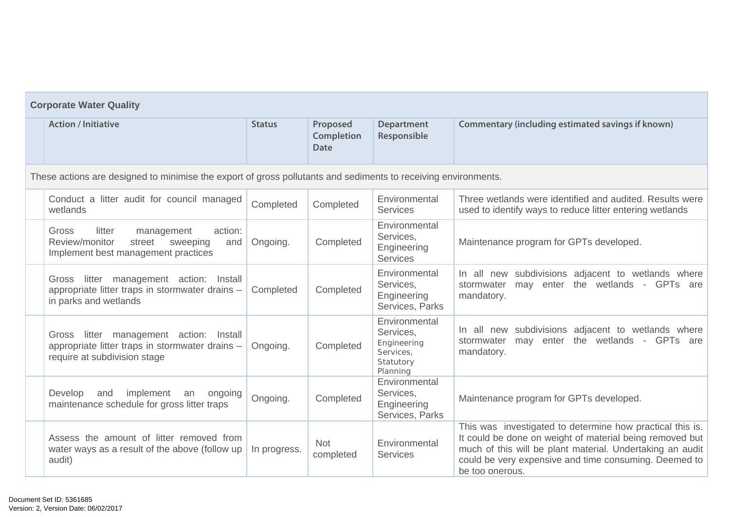| <b>Corporate Water Quality</b>                                                                                                   |               |                                              |                                                                                 |                                                                                                                                                                                                                                                                |  |  |  |
|----------------------------------------------------------------------------------------------------------------------------------|---------------|----------------------------------------------|---------------------------------------------------------------------------------|----------------------------------------------------------------------------------------------------------------------------------------------------------------------------------------------------------------------------------------------------------------|--|--|--|
| <b>Action / Initiative</b>                                                                                                       | <b>Status</b> | Proposed<br><b>Completion</b><br><b>Date</b> | <b>Department</b><br>Responsible                                                | Commentary (including estimated savings if known)                                                                                                                                                                                                              |  |  |  |
| These actions are designed to minimise the export of gross pollutants and sediments to receiving environments.                   |               |                                              |                                                                                 |                                                                                                                                                                                                                                                                |  |  |  |
| Conduct a litter audit for council managed<br>wetlands                                                                           | Completed     | Completed                                    | Environmental<br><b>Services</b>                                                | Three wetlands were identified and audited. Results were<br>used to identify ways to reduce litter entering wetlands                                                                                                                                           |  |  |  |
| action:<br>Gross<br>litter<br>management<br>Review/monitor<br>street<br>sweeping<br>and<br>Implement best management practices   | Ongoing.      | Completed                                    | Environmental<br>Services,<br>Engineering<br><b>Services</b>                    | Maintenance program for GPTs developed.                                                                                                                                                                                                                        |  |  |  |
| litter management action:<br>Gross<br>Install<br>appropriate litter traps in stormwater drains -<br>in parks and wetlands        | Completed     | Completed                                    | Environmental<br>Services,<br>Engineering<br>Services, Parks                    | In all new subdivisions adjacent to wetlands where<br>may enter the wetlands - GPTs are<br>stormwater<br>mandatory.                                                                                                                                            |  |  |  |
| litter management action:<br>Install<br>Gross<br>appropriate litter traps in stormwater drains -<br>require at subdivision stage | Ongoing.      | Completed                                    | Environmental<br>Services,<br>Engineering<br>Services,<br>Statutory<br>Planning | In all new subdivisions adjacent to wetlands where<br>may enter the wetlands - GPTs are<br>stormwater<br>mandatory.                                                                                                                                            |  |  |  |
| Develop<br>implement<br>and<br>an<br>ongoing<br>maintenance schedule for gross litter traps                                      | Ongoing.      | Completed                                    | Environmental<br>Services,<br>Engineering<br>Services, Parks                    | Maintenance program for GPTs developed.                                                                                                                                                                                                                        |  |  |  |
| Assess the amount of litter removed from<br>water ways as a result of the above (follow up<br>audit)                             | In progress.  | <b>Not</b><br>completed                      | Environmental<br><b>Services</b>                                                | This was investigated to determine how practical this is.<br>It could be done on weight of material being removed but<br>much of this will be plant material. Undertaking an audit<br>could be very expensive and time consuming. Deemed to<br>be too onerous. |  |  |  |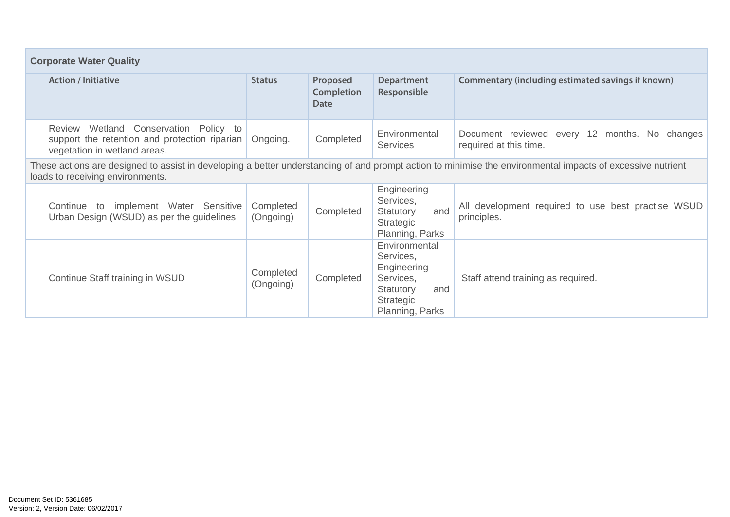| <b>Corporate Water Quality</b>                                                                                         |                        |                                |                                                                                                            |                                                                                                                                                            |  |  |  |
|------------------------------------------------------------------------------------------------------------------------|------------------------|--------------------------------|------------------------------------------------------------------------------------------------------------|------------------------------------------------------------------------------------------------------------------------------------------------------------|--|--|--|
| <b>Action / Initiative</b>                                                                                             | <b>Status</b>          | Proposed<br>Completion<br>Date | <b>Department</b><br>Responsible                                                                           | Commentary (including estimated savings if known)                                                                                                          |  |  |  |
| Review Wetland Conservation Policy to<br>support the retention and protection riparian<br>vegetation in wetland areas. | Ongoing.               | Completed                      | Environmental<br><b>Services</b>                                                                           | Document reviewed every 12 months. No changes<br>required at this time.                                                                                    |  |  |  |
| loads to receiving environments.                                                                                       |                        |                                |                                                                                                            | These actions are designed to assist in developing a better understanding of and prompt action to minimise the environmental impacts of excessive nutrient |  |  |  |
| implement Water Sensitive<br>Continue to<br>Urban Design (WSUD) as per the guidelines                                  | Completed<br>(Ongoing) | Completed                      | Engineering<br>Services,<br>Statutory<br>and<br>Strategic<br>Planning, Parks                               | All development required to use best practise WSUD<br>principles.                                                                                          |  |  |  |
| Continue Staff training in WSUD                                                                                        | Completed<br>(Ongoing) | Completed                      | Environmental<br>Services,<br>Engineering<br>Services,<br>Statutory<br>and<br>Strategic<br>Planning, Parks | Staff attend training as required.                                                                                                                         |  |  |  |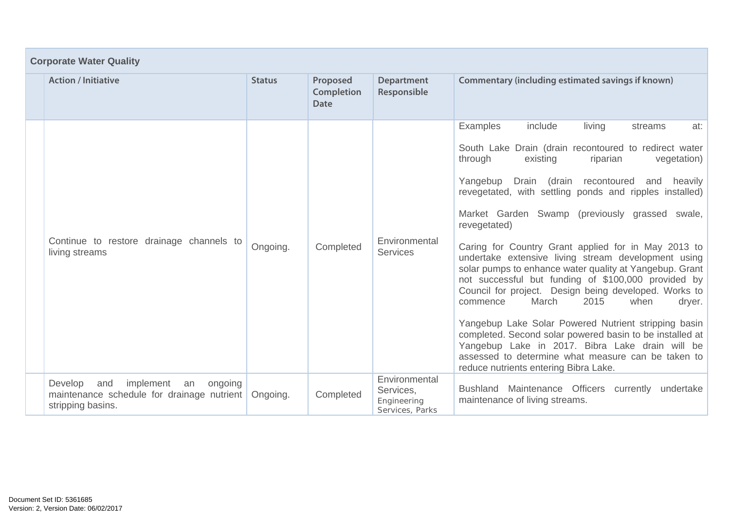| <b>Corporate Water Quality</b>                                                                                  |               |                                              |                                                              |                                                                                                                                                                                                                                                                                                                                                                                                                                                                                                                                                                                                                                                                                                                                                                                                                                                                                                                                                                        |  |  |
|-----------------------------------------------------------------------------------------------------------------|---------------|----------------------------------------------|--------------------------------------------------------------|------------------------------------------------------------------------------------------------------------------------------------------------------------------------------------------------------------------------------------------------------------------------------------------------------------------------------------------------------------------------------------------------------------------------------------------------------------------------------------------------------------------------------------------------------------------------------------------------------------------------------------------------------------------------------------------------------------------------------------------------------------------------------------------------------------------------------------------------------------------------------------------------------------------------------------------------------------------------|--|--|
| <b>Action / Initiative</b>                                                                                      | <b>Status</b> | Proposed<br><b>Completion</b><br><b>Date</b> | <b>Department</b><br>Responsible                             | Commentary (including estimated savings if known)                                                                                                                                                                                                                                                                                                                                                                                                                                                                                                                                                                                                                                                                                                                                                                                                                                                                                                                      |  |  |
| Continue to restore drainage channels to<br>living streams                                                      | Ongoing.      | Completed                                    | Environmental<br><b>Services</b>                             | <b>Examples</b><br>include<br>living<br>at:<br>streams<br>South Lake Drain (drain recontoured to redirect water<br>through<br>existing<br>riparian<br>vegetation)<br>Yangebup<br>Drain (drain recontoured<br>heavily<br>and<br>revegetated, with settling ponds and ripples installed)<br>Market Garden Swamp (previously grassed swale,<br>revegetated)<br>Caring for Country Grant applied for in May 2013 to<br>undertake extensive living stream development using<br>solar pumps to enhance water quality at Yangebup. Grant<br>not successful but funding of \$100,000 provided by<br>Council for project. Design being developed. Works to<br>2015<br>March<br>when<br>dryer.<br>commence<br>Yangebup Lake Solar Powered Nutrient stripping basin<br>completed. Second solar powered basin to be installed at<br>Yangebup Lake in 2017. Bibra Lake drain will be<br>assessed to determine what measure can be taken to<br>reduce nutrients entering Bibra Lake. |  |  |
| implement<br>Develop<br>and<br>an<br>ongoing<br>maintenance schedule for drainage nutrient<br>stripping basins. | Ongoing.      | Completed                                    | Environmental<br>Services,<br>Engineering<br>Services, Parks | Bushland Maintenance Officers currently undertake<br>maintenance of living streams.                                                                                                                                                                                                                                                                                                                                                                                                                                                                                                                                                                                                                                                                                                                                                                                                                                                                                    |  |  |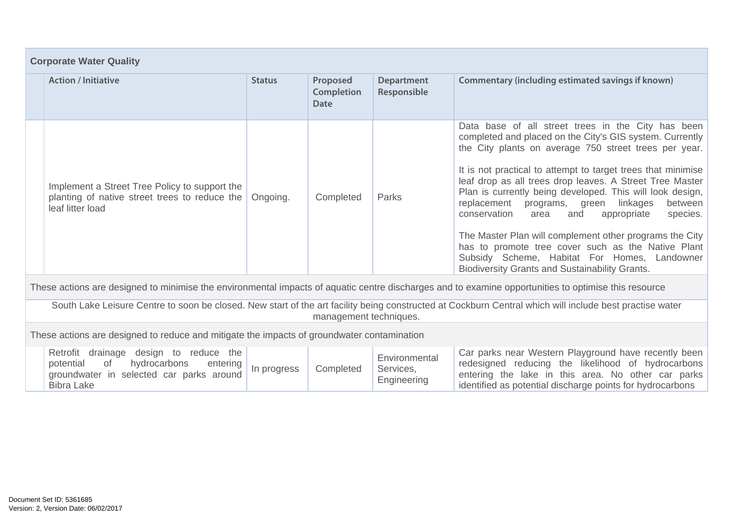| <b>Corporate Water Quality</b>                                                                                     |               |                                       |                                  |                                                                                                                                                                                                                                                                                                                                                                                                                                                                                                                                                                                                                                                                                                         |  |  |
|--------------------------------------------------------------------------------------------------------------------|---------------|---------------------------------------|----------------------------------|---------------------------------------------------------------------------------------------------------------------------------------------------------------------------------------------------------------------------------------------------------------------------------------------------------------------------------------------------------------------------------------------------------------------------------------------------------------------------------------------------------------------------------------------------------------------------------------------------------------------------------------------------------------------------------------------------------|--|--|
| <b>Action / Initiative</b>                                                                                         | <b>Status</b> | Proposed<br><b>Completion</b><br>Date | <b>Department</b><br>Responsible | Commentary (including estimated savings if known)                                                                                                                                                                                                                                                                                                                                                                                                                                                                                                                                                                                                                                                       |  |  |
| Implement a Street Tree Policy to support the<br>planting of native street trees to reduce the<br>leaf litter load | Ongoing.      | Completed                             | Parks                            | Data base of all street trees in the City has been<br>completed and placed on the City's GIS system. Currently<br>the City plants on average 750 street trees per year.<br>It is not practical to attempt to target trees that minimise<br>leaf drop as all trees drop leaves. A Street Tree Master<br>Plan is currently being developed. This will look design,<br>replacement programs, green linkages<br>between<br>conservation<br>appropriate<br>species.<br>area<br>and<br>The Master Plan will complement other programs the City<br>has to promote tree cover such as the Native Plant<br>Subsidy Scheme, Habitat For Homes, Landowner<br><b>Biodiversity Grants and Sustainability Grants.</b> |  |  |

These actions are designed to minimise the environmental impacts of aquatic centre discharges and to examine opportunities to optimise this resource

South Lake Leisure Centre to soon be closed. New start of the art facility being constructed at Cockburn Central which will include best practise water management techniques.

These actions are designed to reduce and mitigate the impacts of groundwater contamination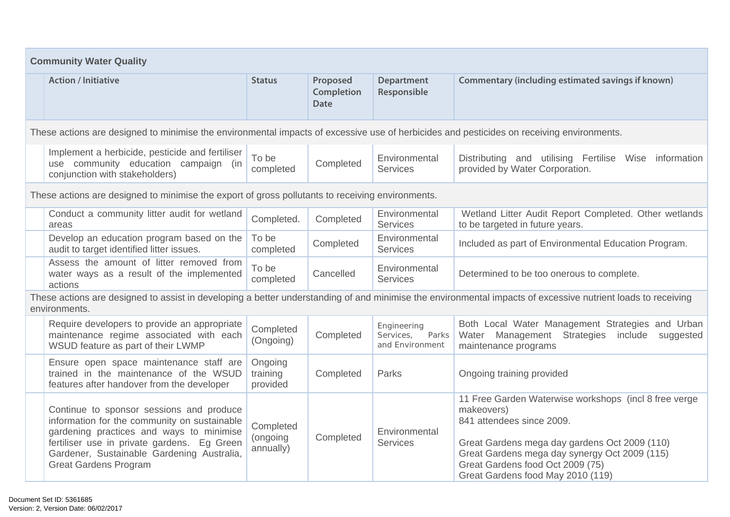| <b>Community Water Quality</b>                                                                                                                                                                                                                                    |                                    |                                       |                                                      |                                                                                                                                                                                                                                                                             |  |  |  |
|-------------------------------------------------------------------------------------------------------------------------------------------------------------------------------------------------------------------------------------------------------------------|------------------------------------|---------------------------------------|------------------------------------------------------|-----------------------------------------------------------------------------------------------------------------------------------------------------------------------------------------------------------------------------------------------------------------------------|--|--|--|
| <b>Action / Initiative</b>                                                                                                                                                                                                                                        | <b>Status</b>                      | Proposed<br>Completion<br><b>Date</b> | <b>Department</b><br>Responsible                     | <b>Commentary (including estimated savings if known)</b>                                                                                                                                                                                                                    |  |  |  |
| These actions are designed to minimise the environmental impacts of excessive use of herbicides and pesticides on receiving environments.                                                                                                                         |                                    |                                       |                                                      |                                                                                                                                                                                                                                                                             |  |  |  |
| Implement a herbicide, pesticide and fertiliser<br>use community education campaign (in<br>conjunction with stakeholders)                                                                                                                                         | To be<br>completed                 | Completed                             | Environmental<br><b>Services</b>                     | Distributing and utilising Fertilise Wise<br>information<br>provided by Water Corporation.                                                                                                                                                                                  |  |  |  |
| These actions are designed to minimise the export of gross pollutants to receiving environments.                                                                                                                                                                  |                                    |                                       |                                                      |                                                                                                                                                                                                                                                                             |  |  |  |
| Conduct a community litter audit for wetland<br>areas                                                                                                                                                                                                             | Completed.                         | Completed                             | Environmental<br><b>Services</b>                     | Wetland Litter Audit Report Completed. Other wetlands<br>to be targeted in future years.                                                                                                                                                                                    |  |  |  |
| Develop an education program based on the<br>audit to target identified litter issues.                                                                                                                                                                            | To be<br>completed                 | Completed                             | Environmental<br><b>Services</b>                     | Included as part of Environmental Education Program.                                                                                                                                                                                                                        |  |  |  |
| Assess the amount of litter removed from<br>water ways as a result of the implemented<br>actions                                                                                                                                                                  | To be<br>completed                 | Cancelled                             | Environmental<br><b>Services</b>                     | Determined to be too onerous to complete.                                                                                                                                                                                                                                   |  |  |  |
| environments.                                                                                                                                                                                                                                                     |                                    |                                       |                                                      | These actions are designed to assist in developing a better understanding of and minimise the environmental impacts of excessive nutrient loads to receiving                                                                                                                |  |  |  |
| Require developers to provide an appropriate<br>maintenance regime associated with each<br>WSUD feature as part of their LWMP                                                                                                                                     | Completed<br>(Ongoing)             | Completed                             | Engineering<br>Parks<br>Services,<br>and Environment | Both Local Water Management Strategies and Urban<br>Water Management<br><b>Strategies</b><br>include<br>suggested<br>maintenance programs                                                                                                                                   |  |  |  |
| Ensure open space maintenance staff are<br>trained in the maintenance of the WSUD<br>features after handover from the developer                                                                                                                                   | Ongoing<br>training<br>provided    | Completed                             | Parks                                                | Ongoing training provided                                                                                                                                                                                                                                                   |  |  |  |
| Continue to sponsor sessions and produce<br>information for the community on sustainable<br>gardening practices and ways to minimise<br>fertiliser use in private gardens. Eg Green<br>Gardener, Sustainable Gardening Australia,<br><b>Great Gardens Program</b> | Completed<br>(ongoing<br>annually) | Completed                             | Environmental<br><b>Services</b>                     | 11 Free Garden Waterwise workshops (incl 8 free verge<br>makeovers)<br>841 attendees since 2009.<br>Great Gardens mega day gardens Oct 2009 (110)<br>Great Gardens mega day synergy Oct 2009 (115)<br>Great Gardens food Oct 2009 (75)<br>Great Gardens food May 2010 (119) |  |  |  |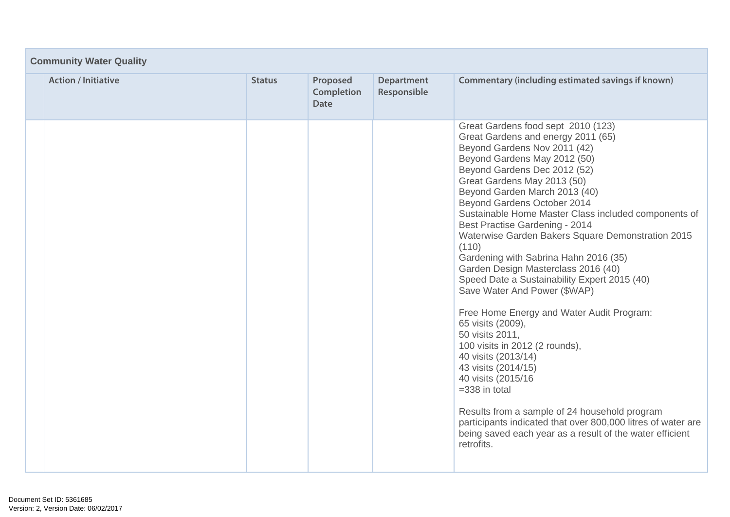| <b>Community Water Quality</b> |               |                                       |                                  |                                                                                                                                                                                                                                                                                                                                                                                                                                                                                                                                                                                                                                                                                                                                                                                                                                                                                                                                                                                                           |  |  |
|--------------------------------|---------------|---------------------------------------|----------------------------------|-----------------------------------------------------------------------------------------------------------------------------------------------------------------------------------------------------------------------------------------------------------------------------------------------------------------------------------------------------------------------------------------------------------------------------------------------------------------------------------------------------------------------------------------------------------------------------------------------------------------------------------------------------------------------------------------------------------------------------------------------------------------------------------------------------------------------------------------------------------------------------------------------------------------------------------------------------------------------------------------------------------|--|--|
| <b>Action / Initiative</b>     | <b>Status</b> | Proposed<br>Completion<br><b>Date</b> | <b>Department</b><br>Responsible | Commentary (including estimated savings if known)                                                                                                                                                                                                                                                                                                                                                                                                                                                                                                                                                                                                                                                                                                                                                                                                                                                                                                                                                         |  |  |
|                                |               |                                       |                                  | Great Gardens food sept 2010 (123)<br>Great Gardens and energy 2011 (65)<br>Beyond Gardens Nov 2011 (42)<br>Beyond Gardens May 2012 (50)<br>Beyond Gardens Dec 2012 (52)<br>Great Gardens May 2013 (50)<br>Beyond Garden March 2013 (40)<br>Beyond Gardens October 2014<br>Sustainable Home Master Class included components of<br>Best Practise Gardening - 2014<br>Waterwise Garden Bakers Square Demonstration 2015<br>(110)<br>Gardening with Sabrina Hahn 2016 (35)<br>Garden Design Masterclass 2016 (40)<br>Speed Date a Sustainability Expert 2015 (40)<br>Save Water And Power (\$WAP)<br>Free Home Energy and Water Audit Program:<br>65 visits (2009),<br>50 visits 2011,<br>100 visits in 2012 (2 rounds),<br>40 visits (2013/14)<br>43 visits (2014/15)<br>40 visits (2015/16)<br>$=338$ in total<br>Results from a sample of 24 household program<br>participants indicated that over 800,000 litres of water are<br>being saved each year as a result of the water efficient<br>retrofits. |  |  |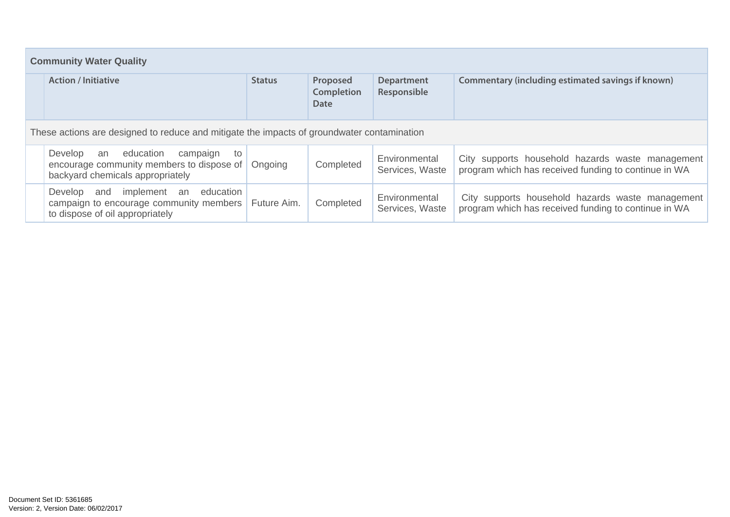| <b>Community Water Quality</b> |                                                                                                                               |               |                                       |                                  |                                                                                                          |  |  |
|--------------------------------|-------------------------------------------------------------------------------------------------------------------------------|---------------|---------------------------------------|----------------------------------|----------------------------------------------------------------------------------------------------------|--|--|
|                                | <b>Action / Initiative</b>                                                                                                    | <b>Status</b> | Proposed<br><b>Completion</b><br>Date | <b>Department</b><br>Responsible | Commentary (including estimated savings if known)                                                        |  |  |
|                                | These actions are designed to reduce and mitigate the impacts of groundwater contamination                                    |               |                                       |                                  |                                                                                                          |  |  |
|                                | Develop<br>education<br>campaign<br>an<br>to<br>encourage community members to dispose of<br>backyard chemicals appropriately | Ongoing       | Completed                             | Environmental<br>Services, Waste | City supports household hazards waste management<br>program which has received funding to continue in WA |  |  |
|                                | education<br>implement<br>Develop<br>and<br>an<br>campaign to encourage community members<br>to dispose of oil appropriately  | Future Aim.   | Completed                             | Environmental<br>Services, Waste | City supports household hazards waste management<br>program which has received funding to continue in WA |  |  |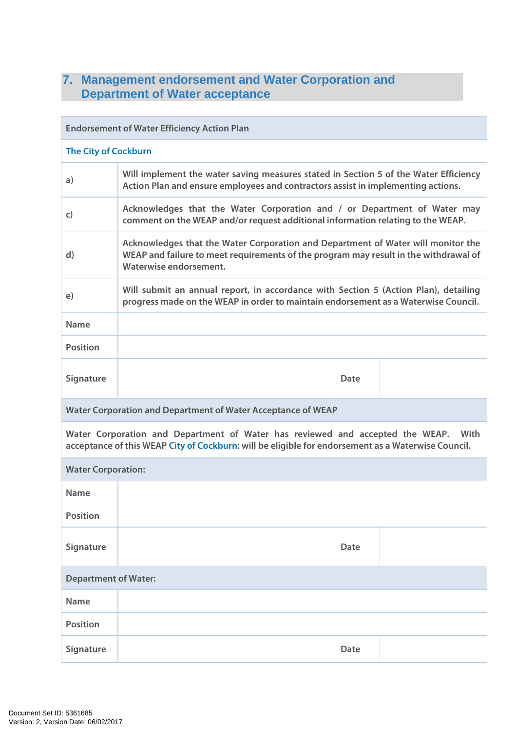# **7. Management endorsement and Water Corporation and Department of Water acceptance**

| <b>Endorsement of Water Efficiency Action Plan</b>                                                                                                                                          |                                                                                                                                                                                                    |             |  |  |  |  |
|---------------------------------------------------------------------------------------------------------------------------------------------------------------------------------------------|----------------------------------------------------------------------------------------------------------------------------------------------------------------------------------------------------|-------------|--|--|--|--|
| <b>The City of Cockburn</b>                                                                                                                                                                 |                                                                                                                                                                                                    |             |  |  |  |  |
| a)                                                                                                                                                                                          | Will implement the water saving measures stated in Section 5 of the Water Efficiency<br>Action Plan and ensure employees and contractors assist in implementing actions.                           |             |  |  |  |  |
| $\mathsf{C}$                                                                                                                                                                                | Acknowledges that the Water Corporation and / or Department of Water may<br>comment on the WEAP and/or request additional information relating to the WEAP.                                        |             |  |  |  |  |
| $\mathsf{d}$                                                                                                                                                                                | Acknowledges that the Water Corporation and Department of Water will monitor the<br>WEAP and failure to meet requirements of the program may result in the withdrawal of<br>Waterwise endorsement. |             |  |  |  |  |
| e)                                                                                                                                                                                          | Will submit an annual report, in accordance with Section 5 (Action Plan), detailing<br>progress made on the WEAP in order to maintain endorsement as a Waterwise Council.                          |             |  |  |  |  |
| <b>Name</b>                                                                                                                                                                                 |                                                                                                                                                                                                    |             |  |  |  |  |
| <b>Position</b>                                                                                                                                                                             |                                                                                                                                                                                                    |             |  |  |  |  |
| Signature                                                                                                                                                                                   |                                                                                                                                                                                                    | Date        |  |  |  |  |
| Water Corporation and Department of Water Acceptance of WEAP                                                                                                                                |                                                                                                                                                                                                    |             |  |  |  |  |
| Water Corporation and Department of Water has reviewed and accepted the WEAP.<br>With<br>acceptance of this WEAP City of Cockburn: will be eligible for endorsement as a Waterwise Council. |                                                                                                                                                                                                    |             |  |  |  |  |
| <b>Water Corporation:</b>                                                                                                                                                                   |                                                                                                                                                                                                    |             |  |  |  |  |
| <b>Name</b>                                                                                                                                                                                 |                                                                                                                                                                                                    |             |  |  |  |  |
| <b>Position</b>                                                                                                                                                                             |                                                                                                                                                                                                    |             |  |  |  |  |
| Signature                                                                                                                                                                                   |                                                                                                                                                                                                    | <b>Date</b> |  |  |  |  |
| <b>Department of Water:</b>                                                                                                                                                                 |                                                                                                                                                                                                    |             |  |  |  |  |
| <b>Name</b>                                                                                                                                                                                 |                                                                                                                                                                                                    |             |  |  |  |  |
| <b>Position</b>                                                                                                                                                                             |                                                                                                                                                                                                    |             |  |  |  |  |
| Signature                                                                                                                                                                                   |                                                                                                                                                                                                    | Date        |  |  |  |  |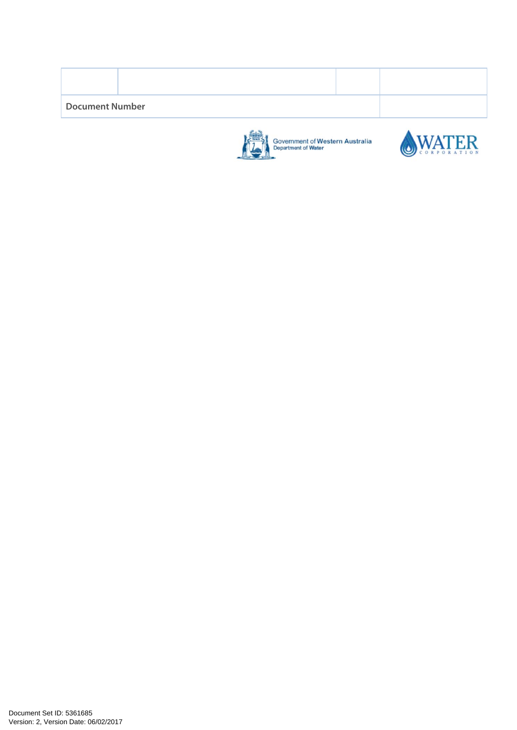| <b>Document Number</b> |  |  |  |  |  |  |
|------------------------|--|--|--|--|--|--|
|                        |  |  |  |  |  |  |



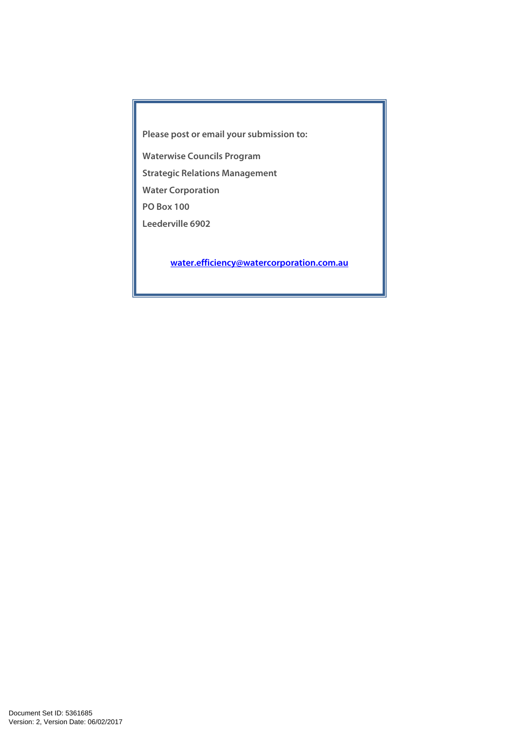**Please post or email your submission to:** 

**Waterwise Councils Program** 

**Strategic Relations Management** 

**Water Corporation** 

**PO Box 100** 

**Leederville 6902** 

**water.efficiency@watercorporation.com.au**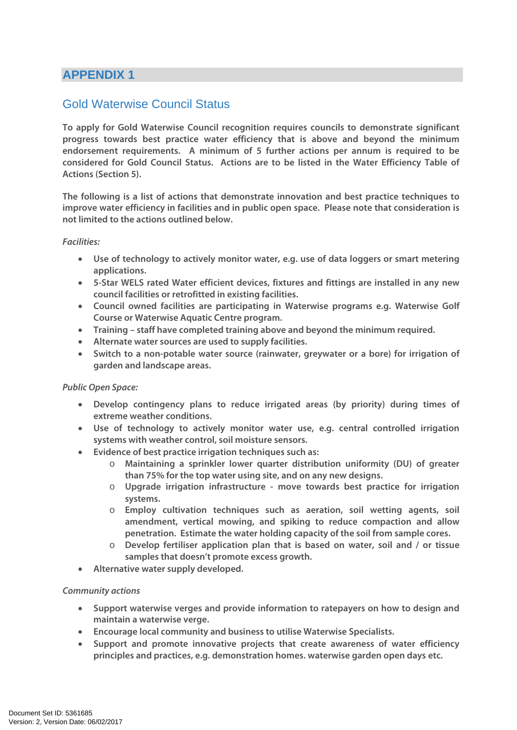# **APPENDIX 1**

# Gold Waterwise Council Status

**To apply for Gold Waterwise Council recognition requires councils to demonstrate significant progress towards best practice water efficiency that is above and beyond the minimum endorsement requirements. A minimum of 5 further actions per annum is required to be considered for Gold Council Status. Actions are to be listed in the Water Efficiency Table of Actions (Section 5).** 

**The following is a list of actions that demonstrate innovation and best practice techniques to improve water efficiency in facilities and in public open space. Please note that consideration is not limited to the actions outlined below.** 

#### **Facilities:**

- **Use of technology to actively monitor water, e.g. use of data loggers or smart metering applications.**
- **5-Star WELS rated Water efficient devices, fixtures and fittings are installed in any new council facilities or retrofitted in existing facilities.**
- **Council owned facilities are participating in Waterwise programs e.g. Waterwise Golf Course or Waterwise Aquatic Centre program.**
- **Training staff have completed training above and beyond the minimum required.**
- **Alternate water sources are used to supply facilities.**
- **Switch to a non-potable water source (rainwater, greywater or a bore) for irrigation of garden and landscape areas.**

#### **Public Open Space:**

- **Develop contingency plans to reduce irrigated areas (by priority) during times of extreme weather conditions.**
- **Use of technology to actively monitor water use, e.g. central controlled irrigation systems with weather control, soil moisture sensors.**
- **Evidence of best practice irrigation techniques such as:** 
	- o **Maintaining a sprinkler lower quarter distribution uniformity (DU) of greater than 75% for the top water using site, and on any new designs.**
	- o **Upgrade irrigation infrastructure move towards best practice for irrigation systems.**
	- o **Employ cultivation techniques such as aeration, soil wetting agents, soil amendment, vertical mowing, and spiking to reduce compaction and allow penetration. Estimate the water holding capacity of the soil from sample cores.**
	- o **Develop fertiliser application plan that is based on water, soil and / or tissue samples that doesn't promote excess growth.**
- **Alternative water supply developed.**

#### **Community actions**

- **Support waterwise verges and provide information to ratepayers on how to design and maintain a waterwise verge.**
- **Encourage local community and business to utilise Waterwise Specialists.**
- **Support and promote innovative projects that create awareness of water efficiency principles and practices, e.g. demonstration homes. waterwise garden open days etc.**